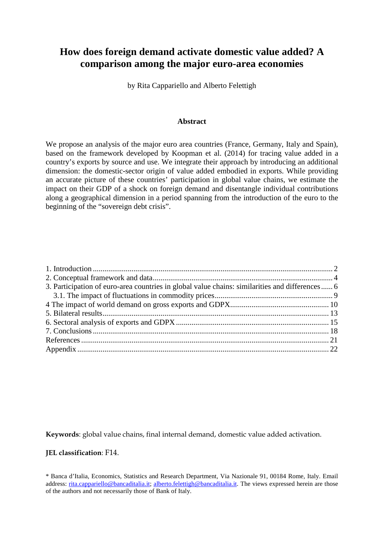# **How does foreign demand activate domestic value added? A comparison among the major euro-area economies**

by Rita Cappariello and Alberto Felettigh

#### **Abstract**

We propose an analysis of the major euro area countries (France, Germany, Italy and Spain), based on the framework developed by Koopman et al. (2014) for tracing value added in a country's exports by source and use. We integrate their approach by introducing an additional dimension: the domestic-sector origin of value added embodied in exports. While providing an accurate picture of these countries' participation in global value chains, we estimate the impact on their GDP of a shock on foreign demand and disentangle individual contributions along a geographical dimension in a period spanning from the introduction of the euro to the beginning of the "sovereign debt crisis".

| 3. Participation of euro-area countries in global value chains: similarities and differences 6 |
|------------------------------------------------------------------------------------------------|
|                                                                                                |
|                                                                                                |
|                                                                                                |
|                                                                                                |
|                                                                                                |
|                                                                                                |
|                                                                                                |
|                                                                                                |

**Keywords**: global value chains, final internal demand, domestic value added activation.

**JEL classification**: F14.

<sup>\*</sup> Banca d'Italia, Economics, Statistics and Research Department, Via Nazionale 91, 00184 Rome, Italy. Email address: [rita.cappariello@bancaditalia.it;](mailto:rita.cappariello@bancaditalia.it) [alberto.felettigh@bancaditalia.it.](mailto:alberto.felettigh@bancaditalia.it) The views expressed herein are those of the authors and not necessarily those of Bank of Italy.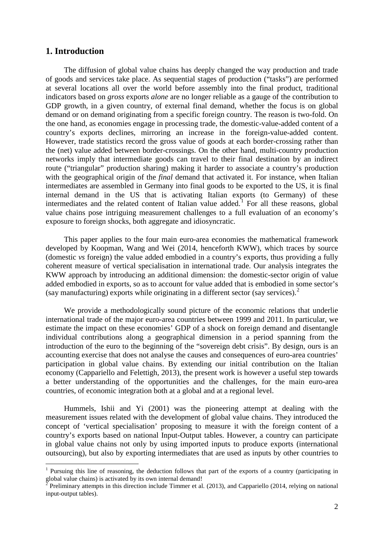# <span id="page-1-0"></span>**1. Introduction**

<u>.</u>

The diffusion of global value chains has deeply changed the way production and trade of goods and services take place. As sequential stages of production ("tasks") are performed at several locations all over the world before assembly into the final product, traditional indicators based on *gross* exports *alone* are no longer reliable as a gauge of the contribution to GDP growth, in a given country, of external final demand, whether the focus is on global demand or on demand originating from a specific foreign country. The reason is two-fold. On the one hand, as economies engage in processing trade, the domestic-value-added content of a country's exports declines, mirroring an increase in the foreign-value-added content. However, trade statistics record the gross value of goods at each border-crossing rather than the (net) value added between border-crossings. On the other hand, multi-country production networks imply that intermediate goods can travel to their final destination by an indirect route ("triangular" production sharing) making it harder to associate a country's production with the geographical origin of the *final* demand that activated it. For instance, when Italian intermediates are assembled in Germany into final goods to be exported to the US, it is final internal demand in the US that is activating Italian exports (to Germany) of these intermediates and the related content of Italian value added.<sup>[1](#page-1-1)</sup> For all these reasons, global value chains pose intriguing measurement challenges to a full evaluation of an economy's exposure to foreign shocks, both aggregate and idiosyncratic.

This paper applies to the four main euro-area economies the mathematical framework developed by Koopman, Wang and Wei (2014, henceforth KWW), which traces by source (domestic *vs* foreign) the value added embodied in a country's exports, thus providing a fully coherent measure of vertical specialisation in international trade. Our analysis integrates the KWW approach by introducing an additional dimension: the domestic-sector origin of value added embodied in exports, so as to account for value added that is embodied in some sector's (say manufacturing) exports while originating in a different sector (say services). [2](#page-1-2)

We provide a methodologically sound picture of the economic relations that underlie international trade of the major euro-area countries between 1999 and 2011. In particular, we estimate the impact on these economies' GDP of a shock on foreign demand and disentangle individual contributions along a geographical dimension in a period spanning from the introduction of the euro to the beginning of the "sovereign debt crisis". By design, ours is an accounting exercise that does not analyse the causes and consequences of euro-area countries' participation in global value chains. By extending our initial contribution on the Italian economy (Cappariello and Felettigh, 2013), the present work is however a useful step towards a better understanding of the opportunities and the challenges, for the main euro-area countries, of economic integration both at a global and at a regional level.

Hummels, Ishii and Yi (2001) was the pioneering attempt at dealing with the measurement issues related with the development of global value chains. They introduced the concept of 'vertical specialisation' proposing to measure it with the foreign content of a country's exports based on national Input-Output tables. However, a country can participate in global value chains not only by using imported inputs to produce exports (international outsourcing), but also by exporting intermediates that are used as inputs by other countries to

<span id="page-1-1"></span><sup>&</sup>lt;sup>1</sup> Pursuing this line of reasoning, the deduction follows that part of the exports of a country (participating in global value chains) is activated by its own internal demand!

<span id="page-1-2"></span><sup>2</sup> Preliminary attempts in this direction include Timmer et al. (2013), and Cappariello (2014, relying on national input-output tables).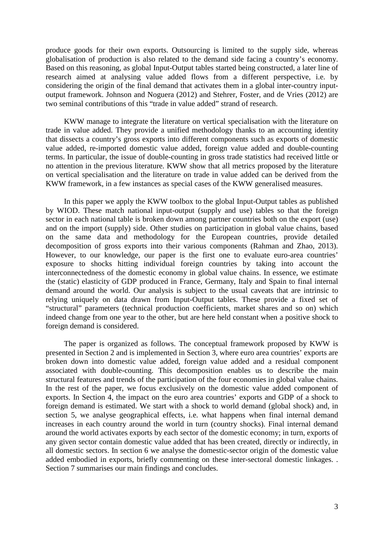produce goods for their own exports. Outsourcing is limited to the supply side, whereas globalisation of production is also related to the demand side facing a country's economy. Based on this reasoning, as global Input-Output tables started being constructed, a later line of research aimed at analysing value added flows from a different perspective, i.e. by considering the origin of the final demand that activates them in a global inter-country inputoutput framework. Johnson and Noguera (2012) and Stehrer, Foster, and de Vries (2012) are two seminal contributions of this "trade in value added" strand of research.

KWW manage to integrate the literature on vertical specialisation with the literature on trade in value added. They provide a unified methodology thanks to an accounting identity that dissects a country's gross exports into different components such as exports of domestic value added, re-imported domestic value added, foreign value added and double-counting terms. In particular, the issue of double-counting in gross trade statistics had received little or no attention in the previous literature. KWW show that all metrics proposed by the literature on vertical specialisation and the literature on trade in value added can be derived from the KWW framework, in a few instances as special cases of the KWW generalised measures.

In this paper we apply the KWW toolbox to the global Input-Output tables as published by WIOD. These match national input-output (supply and use) tables so that the foreign sector in each national table is broken down among partner countries both on the export (use) and on the import (supply) side. Other studies on participation in global value chains, based on the same data and methodology for the European countries, provide detailed decomposition of gross exports into their various components (Rahman and Zhao, 2013). However, to our knowledge, our paper is the first one to evaluate euro-area countries' exposure to shocks hitting individual foreign countries by taking into account the interconnectedness of the domestic economy in global value chains. In essence, we estimate the (static) elasticity of GDP produced in France, Germany, Italy and Spain to final internal demand around the world. Our analysis is subject to the usual caveats that are intrinsic to relying uniquely on data drawn from Input-Output tables. These provide a fixed set of "structural" parameters (technical production coefficients, market shares and so on) which indeed change from one year to the other, but are here held constant when a positive shock to foreign demand is considered.

The paper is organized as follows. The conceptual framework proposed by KWW is presented in Section 2 and is implemented in Section 3, where euro area countries' exports are broken down into domestic value added, foreign value added and a residual component associated with double-counting. This decomposition enables us to describe the main structural features and trends of the participation of the four economies in global value chains. In the rest of the paper, we focus exclusively on the domestic value added component of exports. In Section 4, the impact on the euro area countries' exports and GDP of a shock to foreign demand is estimated. We start with a shock to world demand (global shock) and, in section 5, we analyse geographical effects, i.e. what happens when final internal demand increases in each country around the world in turn (country shocks). Final internal demand around the world activates exports by each sector of the domestic economy; in turn, exports of any given sector contain domestic value added that has been created, directly or indirectly, in all domestic sectors. In section 6 we analyse the domestic-sector origin of the domestic value added embodied in exports, briefly commenting on these inter-sectoral domestic linkages. . Section 7 summarises our main findings and concludes.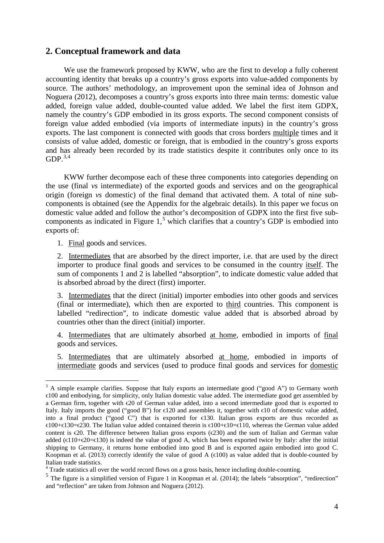# <span id="page-3-0"></span>**2. Conceptual framework and data**

We use the framework proposed by KWW, who are the first to develop a fully coherent accounting identity that breaks up a country's gross exports into value-added components by source. The authors' methodology, an improvement upon the seminal idea of Johnson and Noguera (2012), decomposes a country's gross exports into three main terms: domestic value added, foreign value added, double-counted value added. We label the first item GDPX, namely the country's GDP embodied in its gross exports. The second component consists of foreign value added embodied (via imports of intermediate inputs) in the country's gross exports. The last component is connected with goods that cross borders multiple times and it consists of value added, domestic or foreign, that is embodied in the country's gross exports and has already been recorded by its trade statistics despite it contributes only once to its  $GDP.<sup>3,4</sup>$  $GDP.<sup>3,4</sup>$  $GDP.<sup>3,4</sup>$  $GDP.<sup>3,4</sup>$  $GDP.<sup>3,4</sup>$ 

KWW further decompose each of these three components into categories depending on the use (final *vs* intermediate) of the exported goods and services and on the geographical origin (foreign *vs* domestic) of the final demand that activated them. A total of nine subcomponents is obtained (see the Appendix for the algebraic details). In this paper we focus on domestic value added and follow the author's decomposition of GDPX into the first five subcomponents as indicated in Figure  $1<sup>5</sup>$  $1<sup>5</sup>$  $1<sup>5</sup>$  which clarifies that a country's GDP is embodied into exports of:

1. Final goods and services.

<u>.</u>

2. Intermediates that are absorbed by the direct importer, i.e. that are used by the direct importer to produce final goods and services to be consumed in the country itself. The sum of components 1 and 2 is labelled "absorption", to indicate domestic value added that is absorbed abroad by the direct (first) importer.

3. Intermediates that the direct (initial) importer embodies into other goods and services (final or intermediate), which then are exported to third countries. This component is labelled "redirection", to indicate domestic value added that is absorbed abroad by countries other than the direct (initial) importer.

4. Intermediates that are ultimately absorbed at home, embodied in imports of final goods and services.

5. Intermediates that are ultimately absorbed at home, embodied in imports of intermediate goods and services (used to produce final goods and services for domestic

<span id="page-3-1"></span> $3$  A simple example clarifies. Suppose that Italy exports an intermediate good ("good A") to Germany worth €100 and embodying, for simplicity, only Italian domestic value added. The intermediate good get assembled by a German firm, together with €20 of German value added, into a second intermediate good that is exported to Italy. Italy imports the good ("good B") for  $\in$ 120 and assembles it, together with  $\in$ 10 of domestic value added, into a final product ("good C") that is exported for €130. Italian gross exports are thus recorded as €100+€130=€230. The Italian value added contained therein is €100+€10=€110, whereas the German value added content is  $\epsilon$ 20. The difference between Italian gross exports ( $\epsilon$ 230) and the sum of Italian and German value added ( $\in$ 10+ $\in$ 20= $\in$ 130) is indeed the value of good A, which has been exported twice by Italy: after the initial shipping to Germany, it returns home embodied into good B and is exported again embodied into good C. Koopman et al. (2013) correctly identify the value of good A ( $\in$ 100) as value added that is double-counted by Italian trade statistics.

<sup>4</sup> Trade statistics all over the world record flows on a gross basis, hence including double-counting.

<span id="page-3-3"></span><span id="page-3-2"></span> $5$  The figure is a simplified version of Figure 1 in Koopman et al. (2014); the labels "absorption", "redirection" and "reflection" are taken from Johnson and Noguera (2012).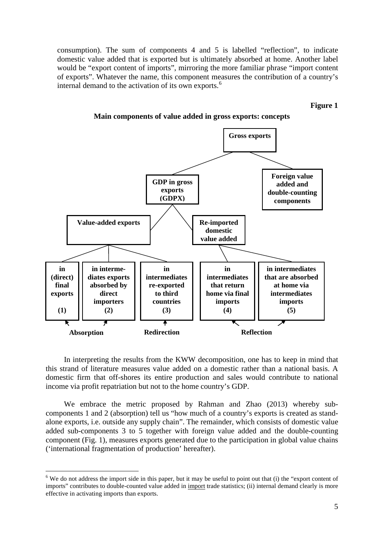consumption). The sum of components 4 and 5 is labelled "reflection", to indicate domestic value added that is exported but is ultimately absorbed at home. Another label would be "export content of imports", mirroring the more familiar phrase "import content of exports". Whatever the name, this component measures the contribution of a country's internal demand to the activation of its own exports.<sup>[6](#page-4-0)</sup>

**Figure 1**



**Main components of value added in gross exports: concepts**

In interpreting the results from the KWW decomposition, one has to keep in mind that this strand of literature measures value added on a domestic rather than a national basis. A domestic firm that off-shores its entire production and sales would contribute to national income via profit repatriation but not to the home country's GDP.

We embrace the metric proposed by Rahman and Zhao (2013) whereby subcomponents 1 and 2 (absorption) tell us "how much of a country's exports is created as standalone exports, i.e. outside any supply chain". The remainder, which consists of domestic value added sub-components 3 to 5 together with foreign value added and the double-counting component (Fig. 1), measures exports generated due to the participation in global value chains ('international fragmentation of production' hereafter).

-

<span id="page-4-0"></span> $6$  We do not address the import side in this paper, but it may be useful to point out that (i) the "export content of imports" contributes to double-counted value added in import trade statistics; (ii) internal demand clearly is more effective in activating imports than exports.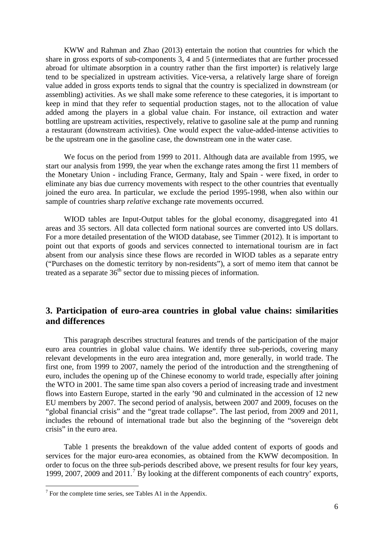KWW and Rahman and Zhao (2013) entertain the notion that countries for which the share in gross exports of sub-components 3, 4 and 5 (intermediates that are further processed abroad for ultimate absorption in a country rather than the first importer) is relatively large tend to be specialized in upstream activities. Vice-versa, a relatively large share of foreign value added in gross exports tends to signal that the country is specialized in downstream (or assembling) activities. As we shall make some reference to these categories, it is important to keep in mind that they refer to sequential production stages, not to the allocation of value added among the players in a global value chain. For instance, oil extraction and water bottling are upstream activities, respectively, relative to gasoline sale at the pump and running a restaurant (downstream activities). One would expect the value-added-intense activities to be the upstream one in the gasoline case, the downstream one in the water case.

We focus on the period from 1999 to 2011. Although data are available from 1995, we start our analysis from 1999, the year when the exchange rates among the first 11 members of the Monetary Union - including France, Germany, Italy and Spain - were fixed, in order to eliminate any bias due currency movements with respect to the other countries that eventually joined the euro area. In particular, we exclude the period 1995-1998, when also within our sample of countries sharp *relative* exchange rate movements occurred.

WIOD tables are Input-Output tables for the global economy, disaggregated into 41 areas and 35 sectors. All data collected form national sources are converted into US dollars. For a more detailed presentation of the WIOD database, see Timmer (2012). It is important to point out that exports of goods and services connected to international tourism are in fact absent from our analysis since these flows are recorded in WIOD tables as a separate entry ("Purchases on the domestic territory by non-residents"), a sort of memo item that cannot be treated as a separate  $36<sup>th</sup>$  sector due to missing pieces of information.

# <span id="page-5-0"></span>**3. Participation of euro-area countries in global value chains: similarities and differences**

This paragraph describes structural features and trends of the participation of the major euro area countries in global value chains. We identify three sub-periods, covering many relevant developments in the euro area integration and, more generally, in world trade. The first one, from 1999 to 2007, namely the period of the introduction and the strengthening of euro, includes the opening up of the Chinese economy to world trade, especially after joining the WTO in 2001. The same time span also covers a period of increasing trade and investment flows into Eastern Europe, started in the early '90 and culminated in the accession of 12 new EU members by 2007. The second period of analysis, between 2007 and 2009, focuses on the "global financial crisis" and the "great trade collapse". The last period, from 2009 and 2011, includes the rebound of international trade but also the beginning of the "sovereign debt crisis" in the euro area.

Table 1 presents the breakdown of the value added content of exports of goods and services for the major euro-area economies, as obtained from the KWW decomposition. In order to focus on the three sub-periods described above, we present results for four key years, 1999, 200[7](#page-5-1), 2009 and  $2011<sup>7</sup>$  By looking at the different components of each country' exports,

<u>.</u>

<span id="page-5-1"></span> $7$  For the complete time series, see Tables A1 in the Appendix.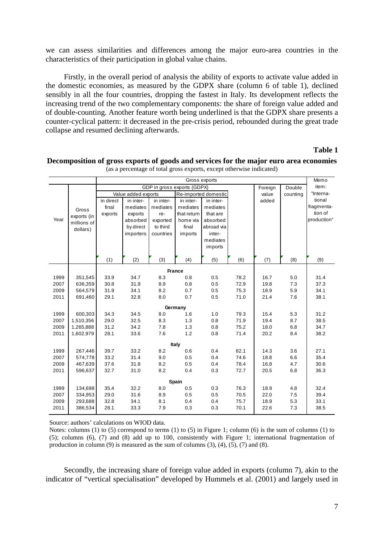we can assess similarities and differences among the major euro-area countries in the characteristics of their participation in global value chains.

Firstly, in the overall period of analysis the ability of exports to activate value added in the domestic economies, as measured by the GDPX share (column 6 of table 1), declined sensibly in all the four countries, dropping the fastest in Italy. Its development reflects the increasing trend of the two complementary components: the share of foreign value added and of double-counting. Another feature worth being underlined is that the GDPX share presents a counter-cyclical pattern: it decreased in the pre-crisis period, rebounded during the great trade collapse and resumed declining afterwards.

#### **Table 1**

|      |             |           |                     |           |                             | Gross exports        |      |         |          | Memo        |
|------|-------------|-----------|---------------------|-----------|-----------------------------|----------------------|------|---------|----------|-------------|
|      |             |           |                     |           | GDP in gross exports (GDPX) |                      |      | Foreign | Double   | item:       |
|      |             |           | Value added exports |           |                             | Re-imported domestic |      | value   | counting | "Interna-   |
|      |             | in direct | in inter-           | in inter- | in inter-                   | in inter-            |      | added   |          | tional      |
|      | Gross       | final     | mediates            | mediates  | mediates                    | mediates             |      |         |          | fragmenta-  |
|      | exports (in | exports   | exports             | re-       | that return                 | that are             |      |         |          | tion of     |
| Year | millions of |           | absorbed            | exported  | home via                    | absorbed             |      |         |          | production" |
|      | dollars)    |           | by direct           | to third  | final                       | abroad via           |      |         |          |             |
|      |             |           | importers           | countries | imports                     | inter-               |      |         |          |             |
|      |             |           |                     |           |                             | mediates             |      |         |          |             |
|      |             |           |                     |           |                             | imports              |      |         |          |             |
|      |             | (1)       | (2)                 | (3)       | (4)                         | (5)                  | (6)  | (7)     | (8)      | (9)         |
|      |             |           |                     |           |                             |                      |      |         |          |             |
|      |             |           |                     |           | <b>France</b>               |                      |      |         |          |             |
| 1999 | 351,545     | 33.9      | 34.7                | 8.3       | 0.8                         | 0.5                  | 78.2 | 16.7    | 5.0      | 31.4        |
| 2007 | 636,359     | 30.8      | 31.9                | 8.9       | 0.8                         | 0.5                  | 72.9 | 19.8    | 7.3      | 37.3        |
| 2009 | 564,579     | 31.9      | 34.1                | 8.2       | 0.7                         | 0.5                  | 75.3 | 18.9    | 5.9      | 34.1        |
| 2011 | 691,460     | 29.1      | 32.8                | 8.0       | 0.7                         | 0.5                  | 71.0 | 21.4    | 7.6      | 38.1        |
|      |             |           |                     |           | Germany                     |                      |      |         |          |             |
| 1999 | 600,303     | 34.3      | 34.5                | 8.0       | 1.6                         | 1.0                  | 79.3 | 15.4    | 5.3      | 31.2        |
| 2007 | 1,510,356   | 29.0      | 32.5                | 8.3       | 1.3                         | 0.8                  | 71.9 | 19.4    | 8.7      | 38.5        |
| 2009 | 1,265,888   | 31.2      | 34.2                | 7.8       | 1.3                         | 0.8                  | 75.2 | 18.0    | 6.8      | 34.7        |
| 2011 | 1,602,979   | 28.1      | 33.6                | 7.6       | 1.2                         | 0.8                  | 71.4 | 20.2    | 8.4      | 38.2        |
|      |             |           |                     |           | Italy                       |                      |      |         |          |             |
| 1999 | 267,446     | 39.7      | 33.2                | 8.2       | 0.6                         | 0.4                  | 82.1 | 14.3    | 3.6      | 27.1        |
| 2007 | 574,778     | 33.2      | 31.4                | 9.0       | 0.5                         | 0.4                  | 74.6 | 18.8    | 6.6      | 35.4        |
| 2009 | 467,639     | 37.6      | 31.8                | 8.2       | 0.5                         | 0.4                  | 78.4 | 16.8    | 4.7      | 30.6        |
| 2011 | 596,637     | 32.7      | 31.0                | 8.2       | 0.4                         | 0.3                  | 72.7 | 20.5    | 6.8      | 36.3        |
|      |             |           |                     |           | <b>Spain</b>                |                      |      |         |          |             |
| 1999 | 134,698     | 35.4      | 32.2                | 8.0       | 0.5                         | 0.3                  | 76.3 | 18.9    | 4.8      | 32.4        |
| 2007 | 334,953     | 29.0      | 31.6                | 8.9       | 0.5                         | 0.5                  | 70.5 | 22.0    | 7.5      | 39.4        |
| 2009 | 293,688     | 32.8      | 34.1                | 8.1       | 0.4                         | 0.4                  | 75.7 | 18.9    | 5.3      | 33.1        |
| 2011 | 386,534     | 28.1      | 33.3                | 7.9       | 0.3                         | 0.3                  | 70.1 | 22.6    | 7.3      | 38.5        |

#### **Decomposition of gross exports of goods and services for the major euro area economies** (as a percentage of total gross exports, except otherwise indicated)

Source: authors' calculations on WIOD data.

Notes: columns (1) to (5) correspond to terms (1) to (5) in Figure 1; column (6) is the sum of columns (1) to (5); columns (6), (7) and (8) add up to 100, consistently with Figure 1; international fragmentation of production in column (9) is measured as the sum of columns  $(3)$ ,  $(4)$ ,  $(5)$ ,  $(7)$  and  $(8)$ .

Secondly, the increasing share of foreign value added in exports (column 7), akin to the indicator of "vertical specialisation" developed by Hummels et al. (2001) and largely used in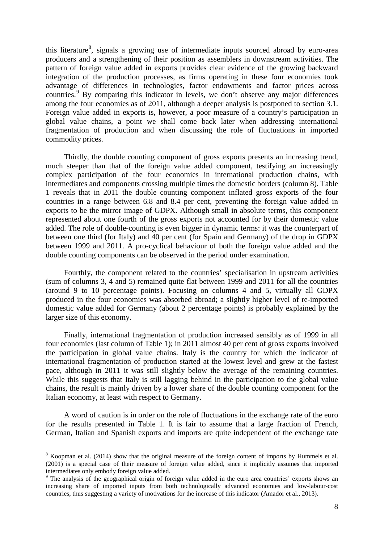this literature<sup>[8](#page-7-0)</sup>, signals a growing use of intermediate inputs sourced abroad by euro-area producers and a strengthening of their position as assemblers in downstream activities. The pattern of foreign value added in exports provides clear evidence of the growing backward integration of the production processes, as firms operating in these four economies took advantage of differences in technologies, factor endowments and factor prices across countries.<sup>[9](#page-7-1)</sup> By comparing this indicator in levels, we don't observe any major differences among the four economies as of 2011, although a deeper analysis is postponed to section 3.1. Foreign value added in exports is, however, a poor measure of a country's participation in global value chains, a point we shall come back later when addressing international fragmentation of production and when discussing the role of fluctuations in imported commodity prices.

Thirdly, the double counting component of gross exports presents an increasing trend, much steeper than that of the foreign value added component, testifying an increasingly complex participation of the four economies in international production chains, with intermediates and components crossing multiple times the domestic borders (column 8). Table 1 reveals that in 2011 the double counting component inflated gross exports of the four countries in a range between 6.8 and 8.4 per cent, preventing the foreign value added in exports to be the mirror image of GDPX. Although small in absolute terms, this component represented about one fourth of the gross exports not accounted for by their domestic value added. The role of double-counting is even bigger in dynamic terms: it was the counterpart of between one third (for Italy) and 40 per cent (for Spain and Germany) of the drop in GDPX between 1999 and 2011. A pro-cyclical behaviour of both the foreign value added and the double counting components can be observed in the period under examination.

Fourthly, the component related to the countries' specialisation in upstream activities (sum of columns 3, 4 and 5) remained quite flat between 1999 and 2011 for all the countries (around 9 to 10 percentage points). Focusing on columns 4 and 5, virtually all GDPX produced in the four economies was absorbed abroad; a slightly higher level of re-imported domestic value added for Germany (about 2 percentage points) is probably explained by the larger size of this economy.

Finally, international fragmentation of production increased sensibly as of 1999 in all four economies (last column of Table 1); in 2011 almost 40 per cent of gross exports involved the participation in global value chains. Italy is the country for which the indicator of international fragmentation of production started at the lowest level and grew at the fastest pace, although in 2011 it was still slightly below the average of the remaining countries. While this suggests that Italy is still lagging behind in the participation to the global value chains, the result is mainly driven by a lower share of the double counting component for the Italian economy, at least with respect to Germany.

A word of caution is in order on the role of fluctuations in the exchange rate of the euro for the results presented in Table 1. It is fair to assume that a large fraction of French, German, Italian and Spanish exports and imports are quite independent of the exchange rate

-

<span id="page-7-0"></span><sup>8</sup> Koopman et al. (2014) show that the original measure of the foreign content of imports by Hummels et al. (2001) is a special case of their measure of foreign value added, since it implicitly assumes that imported intermediates only embody foreign value added.

<span id="page-7-1"></span><sup>&</sup>lt;sup>9</sup> The analysis of the geographical origin of foreign value added in the euro area countries' exports shows an increasing share of imported inputs from both technologically advanced economies and low-labour-cost countries, thus suggesting a variety of motivations for the increase of this indicator (Amador et al., 2013).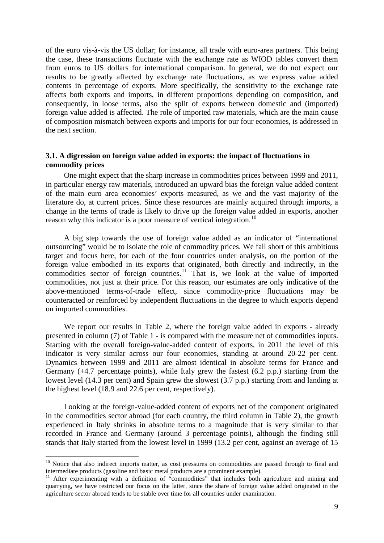of the euro vis-à-vis the US dollar; for instance, all trade with euro-area partners. This being the case, these transactions fluctuate with the exchange rate as WIOD tables convert them from euros to US dollars for international comparison. In general, we do not expect our results to be greatly affected by exchange rate fluctuations, as we express value added contents in percentage of exports. More specifically, the sensitivity to the exchange rate affects both exports and imports, in different proportions depending on composition, and consequently, in loose terms, also the split of exports between domestic and (imported) foreign value added is affected. The role of imported raw materials, which are the main cause of composition mismatch between exports and imports for our four economies, is addressed in the next section.

### <span id="page-8-0"></span>**3.1. A digression on foreign value added in exports: the impact of fluctuations in commodity prices**

One might expect that the sharp increase in commodities prices between 1999 and 2011, in particular energy raw materials, introduced an upward bias the foreign value added content of the main euro area economies' exports measured, as we and the vast majority of the literature do, at current prices. Since these resources are mainly acquired through imports, a change in the terms of trade is likely to drive up the foreign value added in exports, another reason why this indicator is a poor measure of vertical integration.<sup>[10](#page-8-1)</sup>

A big step towards the use of foreign value added as an indicator of "international outsourcing" would be to isolate the role of commodity prices. We fall short of this ambitious target and focus here, for each of the four countries under analysis, on the portion of the foreign value embodied in its exports that originated, both directly and indirectly, in the commodities sector of foreign countries.<sup>[11](#page-8-2)</sup> That is, we look at the value of imported commodities, not just at their price. For this reason, our estimates are only indicative of the above-mentioned terms-of-trade effect, since commodity-price fluctuations may be counteracted or reinforced by independent fluctuations in the degree to which exports depend on imported commodities.

We report our results in Table 2, where the foreign value added in exports - already presented in column (7) of Table 1 - is compared with the measure net of commodities inputs. Starting with the overall foreign-value-added content of exports, in 2011 the level of this indicator is very similar across our four economies, standing at around 20-22 per cent. Dynamics between 1999 and 2011 are almost identical in absolute terms for France and Germany (+4.7 percentage points), while Italy grew the fastest (6.2 p.p.) starting from the lowest level (14.3 per cent) and Spain grew the slowest (3.7 p.p.) starting from and landing at the highest level (18.9 and 22.6 per cent, respectively).

Looking at the foreign-value-added content of exports net of the component originated in the commodities sector abroad (for each country, the third column in Table 2), the growth experienced in Italy shrinks in absolute terms to a magnitude that is very similar to that recorded in France and Germany (around 3 percentage points), although the finding still stands that Italy started from the lowest level in 1999 (13.2 per cent, against an average of 15

<u>.</u>

<span id="page-8-1"></span><sup>&</sup>lt;sup>10</sup> Notice that also indirect imports matter, as cost pressures on commodities are passed through to final and intermediate products (gasoline and basic metal products are a prominent example).<br><sup>11</sup> After experimenting with a definition of "commodities" that includes both agriculture and mining and

<span id="page-8-2"></span>quarrying, we have restricted our focus on the latter, since the share of foreign value added originated in the agriculture sector abroad tends to be stable over time for all countries under examination.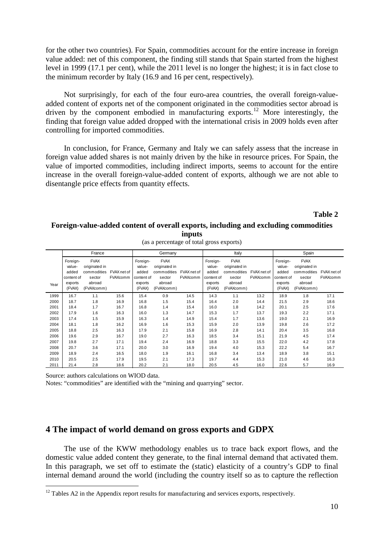for the other two countries). For Spain, commodities account for the entire increase in foreign value added: net of this component, the finding still stands that Spain started from the highest level in 1999 (17.1 per cent), while the 2011 level is no longer the highest; it is in fact close to the minimum recorder by Italy (16.9 and 16 per cent, respectively).

Not surprisingly, for each of the four euro-area countries, the overall foreign-valueadded content of exports net of the component originated in the commodities sector abroad is driven by the component embodied in manufacturing exports.<sup>[12](#page-9-1)</sup> More interestingly, the finding that foreign value added dropped with the international crisis in 2009 holds even after controlling for imported commodities.

In conclusion, for France, Germany and Italy we can safely assess that the increase in foreign value added shares is not mainly driven by the hike in resource prices. For Spain, the value of imported commodities, including indirect imports, seems to account for the entire increase in the overall foreign-value-added content of exports, although we are not able to disentangle price effects from quantity effects.

**Table 2**

#### **Foreign-value-added content of overall exports, including and excluding commodities inputs**

|      |                                                                | France                                                                        |                         |                                                                | Germany                                                                       |                                |                                                                | Italy                                                                         |                                |                                                                | Spain                                                                         |                                |
|------|----------------------------------------------------------------|-------------------------------------------------------------------------------|-------------------------|----------------------------------------------------------------|-------------------------------------------------------------------------------|--------------------------------|----------------------------------------------------------------|-------------------------------------------------------------------------------|--------------------------------|----------------------------------------------------------------|-------------------------------------------------------------------------------|--------------------------------|
| Year | Foreign-<br>value-<br>added<br>content of<br>exports<br>(FVAX) | <b>FVAX</b><br>originated in<br>commodities<br>sector<br>abroad<br>(FVAXcomm) | FVAX net of<br>FVAXcomm | Foreign-<br>value-<br>added<br>content of<br>exports<br>(FVAX) | <b>FVAX</b><br>originated in<br>commodities<br>sector<br>abroad<br>(FVAXcomm) | FVAX net of<br><b>FVAXcomm</b> | Foreign-<br>value-<br>added<br>content of<br>exports<br>(FVAX) | <b>FVAX</b><br>originated in<br>commodities<br>sector<br>abroad<br>(FVAXcomm) | FVAX net of<br><b>FVAXcomm</b> | Foreign-<br>value-<br>added<br>content of<br>exports<br>(FVAX) | <b>FVAX</b><br>originated in<br>commodities<br>sector<br>abroad<br>(FVAXcomm) | FVAX net of<br><b>FVAXcomm</b> |
| 1999 | 16.7                                                           | 1.1                                                                           | 15.6                    | 15.4                                                           | 0.9                                                                           | 14.5                           | 14.3                                                           | 1.1                                                                           | 13.2                           | 18.9                                                           | 1.8                                                                           | 17.1                           |
| 2000 | 18.7                                                           | 1.8                                                                           | 16.9                    | 16.8                                                           | 1.5                                                                           | 15.4                           | 16.4                                                           | 2.0                                                                           | 14.4                           | 21.5                                                           | 2.9                                                                           | 18.6                           |
| 2001 | 18.4                                                           | 1.7                                                                           | 16.7                    | 16.8                                                           | 1.4                                                                           | 15.4                           | 16.0                                                           | 1.8                                                                           | 14.2                           | 20.1                                                           | 2.5                                                                           | 17.6                           |
| 2002 | 17.9                                                           | 1.6                                                                           | 16.3                    | 16.0                                                           | 1.3                                                                           | 14.7                           | 15.3                                                           | 1.7                                                                           | 13.7                           | 19.3                                                           | 2.2                                                                           | 17.1                           |
| 2003 | 17.4                                                           | 1.5                                                                           | 15.9                    | 16.3                                                           | 1.4                                                                           | 14.9                           | 15.4                                                           | 1.7                                                                           | 13.6                           | 19.0                                                           | 2.1                                                                           | 16.9                           |
| 2004 | 18.1                                                           | 1.8                                                                           | 16.2                    | 16.9                                                           | 1.6                                                                           | 15.3                           | 15.9                                                           | 2.0                                                                           | 13.9                           | 19.8                                                           | 2.6                                                                           | 17.2                           |
| 2005 | 18.8                                                           | 2.5                                                                           | 16.3                    | 17.9                                                           | 2.1                                                                           | 15.8                           | 16.9                                                           | 2.8                                                                           | 14.1                           | 20.4                                                           | 3.5                                                                           | 16.8                           |
| 2006 | 19.6                                                           | 2.9                                                                           | 16.7                    | 19.0                                                           | 2.7                                                                           | 16.3                           | 18.5                                                           | 3.4                                                                           | 15.1                           | 21.9                                                           | 4.5                                                                           | 17.4                           |
| 2007 | 19.8                                                           | 2.7                                                                           | 17.1                    | 19.4                                                           | 2.4                                                                           | 16.9                           | 18.8                                                           | 3.3                                                                           | 15.5                           | 22.0                                                           | 4.2                                                                           | 17.8                           |
| 2008 | 20.7                                                           | 3.6                                                                           | 17.1                    | 20.0                                                           | 3.0                                                                           | 16.9                           | 19.4                                                           | 4.0                                                                           | 15.3                           | 22.2                                                           | 5.4                                                                           | 16.7                           |
| 2009 | 18.9                                                           | 2.4                                                                           | 16.5                    | 18.0                                                           | 1.9                                                                           | 16.1                           | 16.8                                                           | 3.4                                                                           | 13.4                           | 18.9                                                           | 3.8                                                                           | 15.1                           |
| 2010 | 20.5                                                           | 2.5                                                                           | 17.9                    | 19.5                                                           | 2.1                                                                           | 17.3                           | 19.7                                                           | 4.4                                                                           | 15.3                           | 21.0                                                           | 4.6                                                                           | 16.3                           |
| 2011 | 21.4                                                           | 2.8                                                                           | 18.6                    | 20.2                                                           | 2.1                                                                           | 18.0                           | 20.5                                                           | 4.5                                                                           | 16.0                           | 22.6                                                           | 5.7                                                                           | 16.9                           |

(as a percentage of total gross exports)

Source: authors calculations on WIOD data.

<u>.</u>

Notes: "commodities" are identified with the "mining and quarrying" sector.

### <span id="page-9-0"></span>**4 The impact of world demand on gross exports and GDPX**

The use of the KWW methodology enables us to trace back export flows, and the domestic value added content they generate, to the final internal demand that activated them. In this paragraph, we set off to estimate the (static) elasticity of a country's GDP to final internal demand around the world (including the country itself so as to capture the reflection

<span id="page-9-1"></span> $12$  Tables A2 in the Appendix report results for manufacturing and services exports, respectively.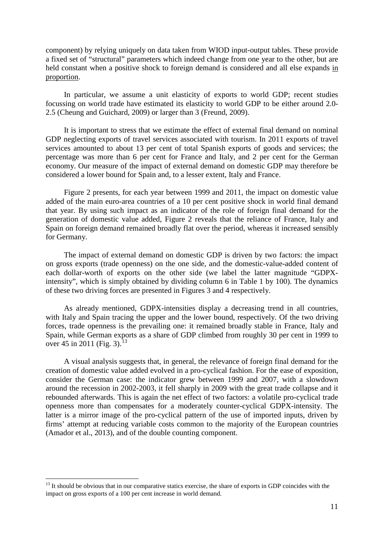component) by relying uniquely on data taken from WIOD input-output tables. These provide a fixed set of "structural" parameters which indeed change from one year to the other, but are held constant when a positive shock to foreign demand is considered and all else expands in proportion.

In particular, we assume a unit elasticity of exports to world GDP; recent studies focussing on world trade have estimated its elasticity to world GDP to be either around 2.0- 2.5 (Cheung and Guichard, 2009) or larger than 3 (Freund, 2009).

It is important to stress that we estimate the effect of external final demand on nominal GDP neglecting exports of travel services associated with tourism. In 2011 exports of travel services amounted to about 13 per cent of total Spanish exports of goods and services; the percentage was more than 6 per cent for France and Italy, and 2 per cent for the German economy. Our measure of the impact of external demand on domestic GDP may therefore be considered a lower bound for Spain and, to a lesser extent, Italy and France.

Figure 2 presents, for each year between 1999 and 2011, the impact on domestic value added of the main euro-area countries of a 10 per cent positive shock in world final demand that year. By using such impact as an indicator of the role of foreign final demand for the generation of domestic value added, Figure 2 reveals that the reliance of France, Italy and Spain on foreign demand remained broadly flat over the period, whereas it increased sensibly for Germany.

The impact of external demand on domestic GDP is driven by two factors: the impact on gross exports (trade openness) on the one side, and the domestic-value-added content of each dollar-worth of exports on the other side (we label the latter magnitude "GDPXintensity", which is simply obtained by dividing column 6 in Table 1 by 100). The dynamics of these two driving forces are presented in Figures 3 and 4 respectively.

As already mentioned, GDPX-intensities display a decreasing trend in all countries, with Italy and Spain tracing the upper and the lower bound, respectively. Of the two driving forces, trade openness is the prevailing one: it remained broadly stable in France, Italy and Spain, while German exports as a share of GDP climbed from roughly 30 per cent in 1999 to over 45 in 2011 (Fig. 3).<sup>[13](#page-10-0)</sup>

A visual analysis suggests that, in general, the relevance of foreign final demand for the creation of domestic value added evolved in a pro-cyclical fashion. For the ease of exposition, consider the German case: the indicator grew between 1999 and 2007, with a slowdown around the recession in 2002-2003, it fell sharply in 2009 with the great trade collapse and it rebounded afterwards. This is again the net effect of two factors: a volatile pro-cyclical trade openness more than compensates for a moderately counter-cyclical GDPX-intensity. The latter is a mirror image of the pro-cyclical pattern of the use of imported inputs, driven by firms' attempt at reducing variable costs common to the majority of the European countries (Amador et al., 2013), and of the double counting component.

<u>.</u>

<span id="page-10-0"></span><sup>&</sup>lt;sup>13</sup> It should be obvious that in our comparative statics exercise, the share of exports in GDP coincides with the impact on gross exports of a 100 per cent increase in world demand.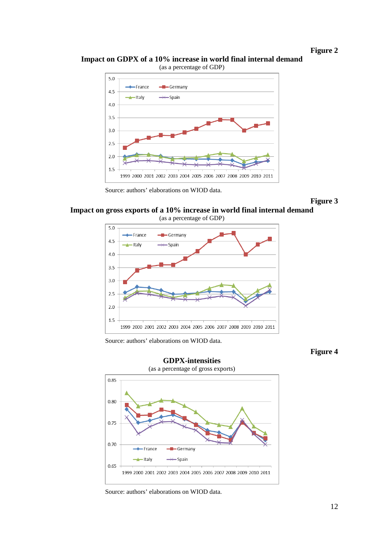**Figure 2**

#### **Impact on GDPX of a 10% increase in world final internal demand**  (as a percentage of GDP)



Source: authors' elaborations on WIOD data.



### **Impact on gross exports of a 10% increase in world final internal demand** (as a percentage of GDP)



Source: authors' elaborations on WIOD data.

**Figure 4**



Source: authors' elaborations on WIOD data.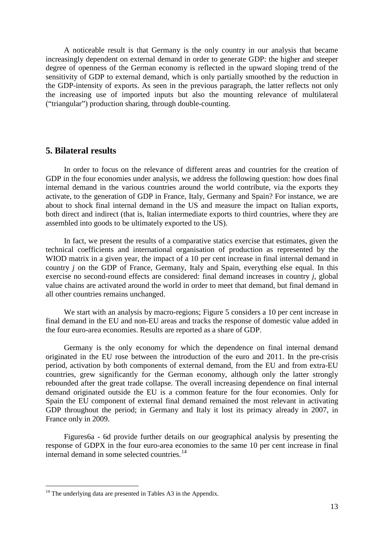A noticeable result is that Germany is the only country in our analysis that became increasingly dependent on external demand in order to generate GDP: the higher and steeper degree of openness of the German economy is reflected in the upward sloping trend of the sensitivity of GDP to external demand, which is only partially smoothed by the reduction in the GDP-intensity of exports. As seen in the previous paragraph, the latter reflects not only the increasing use of imported inputs but also the mounting relevance of multilateral ("triangular") production sharing, through double-counting.

# <span id="page-12-0"></span>**5. Bilateral results**

In order to focus on the relevance of different areas and countries for the creation of GDP in the four economies under analysis, we address the following question: how does final internal demand in the various countries around the world contribute, via the exports they activate, to the generation of GDP in France, Italy, Germany and Spain? For instance, we are about to shock final internal demand in the US and measure the impact on Italian exports, both direct and indirect (that is, Italian intermediate exports to third countries, where they are assembled into goods to be ultimately exported to the US).

In fact, we present the results of a comparative statics exercise that estimates, given the technical coefficients and international organisation of production as represented by the WIOD matrix in a given year, the impact of a 10 per cent increase in final internal demand in country *j* on the GDP of France, Germany, Italy and Spain, everything else equal. In this exercise no second-round effects are considered: final demand increases in country *j*, global value chains are activated around the world in order to meet that demand, but final demand in all other countries remains unchanged.

We start with an analysis by macro-regions; Figure 5 considers a 10 per cent increase in final demand in the EU and non-EU areas and tracks the response of domestic value added in the four euro-area economies. Results are reported as a share of GDP.

Germany is the only economy for which the dependence on final internal demand originated in the EU rose between the introduction of the euro and 2011. In the pre-crisis period, activation by both components of external demand, from the EU and from extra-EU countries, grew significantly for the German economy, although only the latter strongly rebounded after the great trade collapse. The overall increasing dependence on final internal demand originated outside the EU is a common feature for the four economies. Only for Spain the EU component of external final demand remained the most relevant in activating GDP throughout the period; in Germany and Italy it lost its primacy already in 2007, in France only in 2009.

Figures6a - 6d provide further details on our geographical analysis by presenting the response of GDPX in the four euro-area economies to the same 10 per cent increase in final internal demand in some selected countries.<sup>[14](#page-12-1)</sup>

<u>.</u>

<span id="page-12-1"></span> $14$  The underlying data are presented in Tables A3 in the Appendix.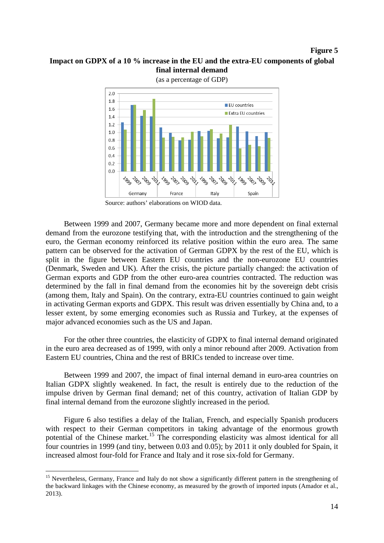#### **Figure 5**

# **Impact on GDPX of a 10 % increase in the EU and the extra-EU components of global final internal demand**



(as a percentage of GDP)



Between 1999 and 2007, Germany became more and more dependent on final external demand from the eurozone testifying that, with the introduction and the strengthening of the euro, the German economy reinforced its relative position within the euro area. The same pattern can be observed for the activation of German GDPX by the rest of the EU, which is split in the figure between Eastern EU countries and the non-eurozone EU countries (Denmark, Sweden and UK). After the crisis, the picture partially changed: the activation of German exports and GDP from the other euro-area countries contracted. The reduction was determined by the fall in final demand from the economies hit by the sovereign debt crisis (among them, Italy and Spain). On the contrary, extra-EU countries continued to gain weight in activating German exports and GDPX. This result was driven essentially by China and, to a lesser extent, by some emerging economies such as Russia and Turkey, at the expenses of major advanced economies such as the US and Japan.

For the other three countries, the elasticity of GDPX to final internal demand originated in the euro area decreased as of 1999, with only a minor rebound after 2009. Activation from Eastern EU countries, China and the rest of BRICs tended to increase over time.

Between 1999 and 2007, the impact of final internal demand in euro-area countries on Italian GDPX slightly weakened. In fact, the result is entirely due to the reduction of the impulse driven by German final demand; net of this country, activation of Italian GDP by final internal demand from the eurozone slightly increased in the period.

Figure 6 also testifies a delay of the Italian, French, and especially Spanish producers with respect to their German competitors in taking advantage of the enormous growth potential of the Chinese market.<sup>[15](#page-13-0)</sup> The corresponding elasticity was almost identical for all four countries in 1999 (and tiny, between 0.03 and 0.05); by 2011 it only doubled for Spain, it increased almost four-fold for France and Italy and it rose six-fold for Germany.

-

<span id="page-13-0"></span><sup>&</sup>lt;sup>15</sup> Nevertheless, Germany, France and Italy do not show a significantly different pattern in the strengthening of the backward linkages with the Chinese economy, as measured by the growth of imported inputs (Amador et al., 2013).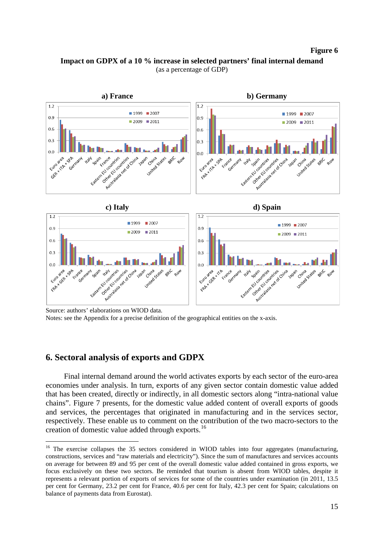#### **Figure 6**



# **Impact on GDPX of a 10 % increase in selected partners' final internal demand** (as a percentage of GDP)

# <span id="page-14-0"></span>**6. Sectoral analysis of exports and GDPX**

-

Final internal demand around the world activates exports by each sector of the euro-area economies under analysis. In turn, exports of any given sector contain domestic value added that has been created, directly or indirectly, in all domestic sectors along "intra-national value chains". Figure 7 presents, for the domestic value added content of overall exports of goods and services, the percentages that originated in manufacturing and in the services sector, respectively. These enable us to comment on the contribution of the two macro-sectors to the creation of domestic value added through exports.[16](#page-14-1)

Source: authors' elaborations on WIOD data. Notes: see the Appendix for a precise definition of the geographical entities on the x-axis.

<span id="page-14-1"></span><sup>&</sup>lt;sup>16</sup> The exercise collapses the 35 sectors considered in WIOD tables into four aggregates (manufacturing, constructions, services and "raw materials and electricity"). Since the sum of manufactures and services accounts on average for between 89 and 95 per cent of the overall domestic value added contained in gross exports, we focus exclusively on these two sectors. Be reminded that tourism is absent from WIOD tables, despite it represents a relevant portion of exports of services for some of the countries under examination (in 2011, 13.5 per cent for Germany, 23.2 per cent for France, 40.6 per cent for Italy, 42.3 per cent for Spain; calculations on balance of payments data from Eurostat).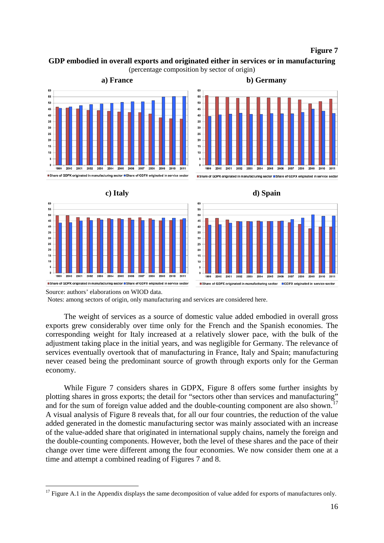#### **Figure 7**

# **GDP embodied in overall exports and originated either in services or in manufacturing**





Source: authors' elaborations on WIOD data.

Notes: among sectors of origin, only manufacturing and services are considered here.

The weight of services as a source of domestic value added embodied in overall gross exports grew considerably over time only for the French and the Spanish economies. The corresponding weight for Italy increased at a relatively slower pace, with the bulk of the adjustment taking place in the initial years, and was negligible for Germany. The relevance of services eventually overtook that of manufacturing in France, Italy and Spain; manufacturing never ceased being the predominant source of growth through exports only for the German economy.

While Figure 7 considers shares in GDPX, Figure 8 offers some further insights by plotting shares in gross exports; the detail for "sectors other than services and manufacturing" and for the sum of foreign value added and the double-counting component are also shown.<sup>[17](#page-15-0)</sup> A visual analysis of Figure 8 reveals that, for all our four countries, the reduction of the value added generated in the domestic manufacturing sector was mainly associated with an increase of the value-added share that originated in international supply chains, namely the foreign and the double-counting components. However, both the level of these shares and the pace of their change over time were different among the four economies. We now consider them one at a time and attempt a combined reading of Figures 7 and 8.

<span id="page-15-0"></span> $17$  Figure A.1 in the Appendix displays the same decomposition of value added for exports of manufactures only. <u>.</u>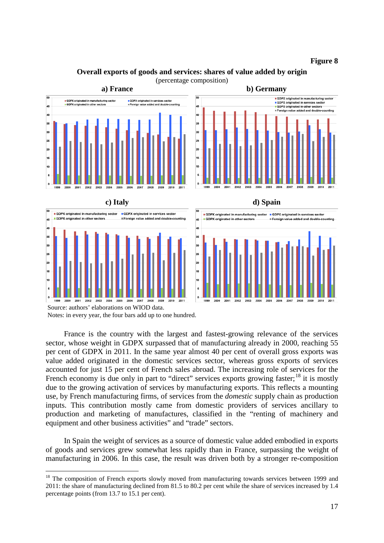**Figure 8**

# **Overall exports of goods and services: shares of value added by origin**



(percentage composition)

GDPX originated in manufacturing sector ■ SDFX originated in manufacturing<br>■ GDPX originated in services secto<br>■ Foreign value added and double-c 45 40 35 30  $25$ 20







Source: authors' elaborations on WIOD data. Notes: in every year, the four bars add up to one hundred.

France is the country with the largest and fastest-growing relevance of the services sector, whose weight in GDPX surpassed that of manufacturing already in 2000, reaching 55 per cent of GDPX in 2011. In the same year almost 40 per cent of overall gross exports was value added originated in the domestic services sector, whereas gross exports of services accounted for just 15 per cent of French sales abroad. The increasing role of services for the French economy is due only in part to "direct" services exports growing faster;  $^{18}$  $^{18}$  $^{18}$  it is mostly due to the growing activation of services by manufacturing exports. This reflects a mounting use, by French manufacturing firms, of services from the *domestic* supply chain as production inputs. This contribution mostly came from domestic providers of services ancillary to production and marketing of manufactures, classified in the "renting of machinery and equipment and other business activities" and "trade" sectors.

In Spain the weight of services as a source of domestic value added embodied in exports of goods and services grew somewhat less rapidly than in France, surpassing the weight of manufacturing in 2006. In this case, the result was driven both by a stronger re-composition

<span id="page-16-0"></span><sup>&</sup>lt;sup>18</sup> The composition of French exports slowly moved from manufacturing towards services between 1999 and 2011: the share of manufacturing declined from 81.5 to 80.2 per cent while the share of services increased by 1.4 percentage points (from 13.7 to 15.1 per cent). -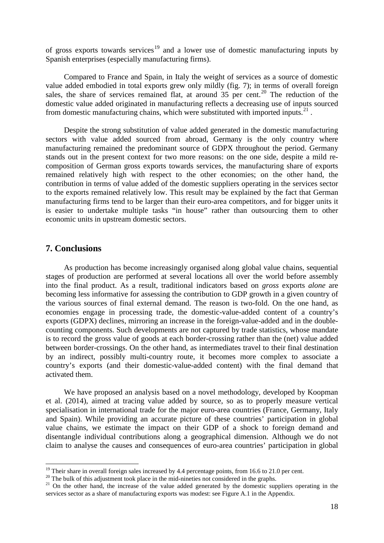of gross exports towards services<sup>[19](#page-17-1)</sup> and a lower use of domestic manufacturing inputs by Spanish enterprises (especially manufacturing firms).

Compared to France and Spain, in Italy the weight of services as a source of domestic value added embodied in total exports grew only mildly (fig. 7); in terms of overall foreign sales, the share of services remained flat, at around  $35$  per cent.<sup>[20](#page-17-2)</sup> The reduction of the domestic value added originated in manufacturing reflects a decreasing use of inputs sourced from domestic manufacturing chains, which were substituted with imported inputs. $21$ .

Despite the strong substitution of value added generated in the domestic manufacturing sectors with value added sourced from abroad, Germany is the only country where manufacturing remained the predominant source of GDPX throughout the period. Germany stands out in the present context for two more reasons: on the one side, despite a mild recomposition of German gross exports towards services, the manufacturing share of exports remained relatively high with respect to the other economies; on the other hand, the contribution in terms of value added of the domestic suppliers operating in the services sector to the exports remained relatively low. This result may be explained by the fact that German manufacturing firms tend to be larger than their euro-area competitors, and for bigger units it is easier to undertake multiple tasks "in house" rather than outsourcing them to other economic units in upstream domestic sectors.

# <span id="page-17-0"></span>**7. Conclusions**

As production has become increasingly organised along global value chains, sequential stages of production are performed at several locations all over the world before assembly into the final product. As a result, traditional indicators based on *gross* exports *alone* are becoming less informative for assessing the contribution to GDP growth in a given country of the various sources of final external demand. The reason is two-fold. On the one hand, as economies engage in processing trade, the domestic-value-added content of a country's exports (GDPX) declines, mirroring an increase in the foreign-value-added and in the doublecounting components. Such developments are not captured by trade statistics, whose mandate is to record the gross value of goods at each border-crossing rather than the (net) value added between border-crossings. On the other hand, as intermediates travel to their final destination by an indirect, possibly multi-country route, it becomes more complex to associate a country's exports (and their domestic-value-added content) with the final demand that activated them.

We have proposed an analysis based on a novel methodology, developed by Koopman et al. (2014), aimed at tracing value added by source, so as to properly measure vertical specialisation in international trade for the major euro-area countries (France, Germany, Italy and Spain). While providing an accurate picture of these countries' participation in global value chains, we estimate the impact on their GDP of a shock to foreign demand and disentangle individual contributions along a geographical dimension. Although we do not claim to analyse the causes and consequences of euro-area countries' participation in global

 $19$  Their share in overall foreign sales increased by 4.4 percentage points, from 16.6 to 21.0 per cent.

<span id="page-17-3"></span>

<span id="page-17-2"></span><span id="page-17-1"></span><sup>&</sup>lt;sup>20</sup> The bulk of this adjustment took place in the mid-nineties not considered in the graphs.<br><sup>21</sup> On the other hand, the increase of the value added generated by the domestic suppliers operating in the services sector as a share of manufacturing exports was modest: see Figure A.1 in the Appendix.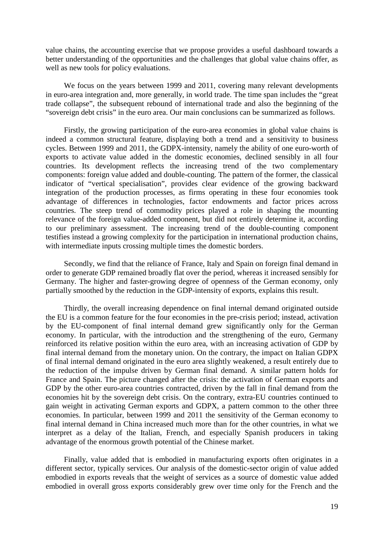value chains, the accounting exercise that we propose provides a useful dashboard towards a better understanding of the opportunities and the challenges that global value chains offer, as well as new tools for policy evaluations.

We focus on the years between 1999 and 2011, covering many relevant developments in euro-area integration and, more generally, in world trade. The time span includes the "great trade collapse", the subsequent rebound of international trade and also the beginning of the "sovereign debt crisis" in the euro area. Our main conclusions can be summarized as follows.

Firstly, the growing participation of the euro-area economies in global value chains is indeed a common structural feature, displaying both a trend and a sensitivity to business cycles. Between 1999 and 2011, the GDPX-intensity, namely the ability of one euro-worth of exports to activate value added in the domestic economies, declined sensibly in all four countries. Its development reflects the increasing trend of the two complementary components: foreign value added and double-counting. The pattern of the former, the classical indicator of "vertical specialisation", provides clear evidence of the growing backward integration of the production processes, as firms operating in these four economies took advantage of differences in technologies, factor endowments and factor prices across countries. The steep trend of commodity prices played a role in shaping the mounting relevance of the foreign value-added component, but did not entirely determine it, according to our preliminary assessment. The increasing trend of the double-counting component testifies instead a growing complexity for the participation in international production chains, with intermediate inputs crossing multiple times the domestic borders.

Secondly, we find that the reliance of France, Italy and Spain on foreign final demand in order to generate GDP remained broadly flat over the period, whereas it increased sensibly for Germany. The higher and faster-growing degree of openness of the German economy, only partially smoothed by the reduction in the GDP-intensity of exports, explains this result.

Thirdly, the overall increasing dependence on final internal demand originated outside the EU is a common feature for the four economies in the pre-crisis period; instead, activation by the EU-component of final internal demand grew significantly only for the German economy. In particular, with the introduction and the strengthening of the euro, Germany reinforced its relative position within the euro area, with an increasing activation of GDP by final internal demand from the monetary union. On the contrary, the impact on Italian GDPX of final internal demand originated in the euro area slightly weakened, a result entirely due to the reduction of the impulse driven by German final demand. A similar pattern holds for France and Spain. The picture changed after the crisis: the activation of German exports and GDP by the other euro-area countries contracted, driven by the fall in final demand from the economies hit by the sovereign debt crisis. On the contrary, extra-EU countries continued to gain weight in activating German exports and GDPX, a pattern common to the other three economies. In particular, between 1999 and 2011 the sensitivity of the German economy to final internal demand in China increased much more than for the other countries, in what we interpret as a delay of the Italian, French, and especially Spanish producers in taking advantage of the enormous growth potential of the Chinese market.

Finally, value added that is embodied in manufacturing exports often originates in a different sector, typically services. Our analysis of the domestic-sector origin of value added embodied in exports reveals that the weight of services as a source of domestic value added embodied in overall gross exports considerably grew over time only for the French and the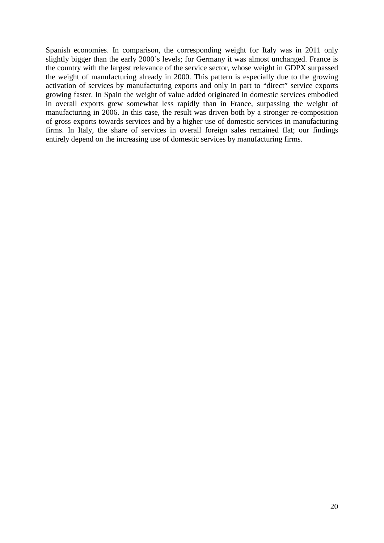Spanish economies. In comparison, the corresponding weight for Italy was in 2011 only slightly bigger than the early 2000's levels; for Germany it was almost unchanged. France is the country with the largest relevance of the service sector, whose weight in GDPX surpassed the weight of manufacturing already in 2000. This pattern is especially due to the growing activation of services by manufacturing exports and only in part to "direct" service exports growing faster. In Spain the weight of value added originated in domestic services embodied in overall exports grew somewhat less rapidly than in France, surpassing the weight of manufacturing in 2006. In this case, the result was driven both by a stronger re-composition of gross exports towards services and by a higher use of domestic services in manufacturing firms. In Italy, the share of services in overall foreign sales remained flat; our findings entirely depend on the increasing use of domestic services by manufacturing firms.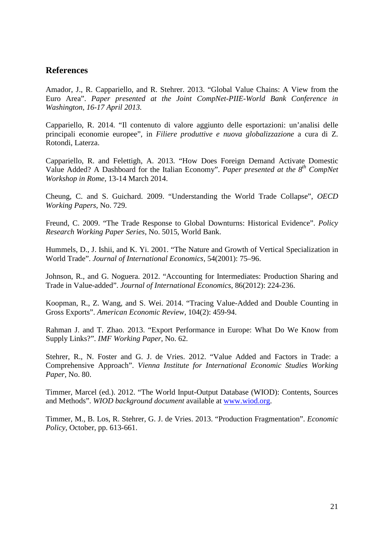# <span id="page-20-0"></span>**References**

Amador, J., R. Cappariello, and R. Stehrer. 2013. "Global Value Chains: A View from the Euro Area". *Paper presented at the Joint CompNet-PIIE-World Bank Conference in Washington, 16-17 April 2013.*

Cappariello, R. 2014. "Il contenuto di valore aggiunto delle esportazioni: un'analisi delle principali economie europee", in *Filiere produttive e nuova globalizzazione* a cura di Z. Rotondi, Laterza.

Cappariello, R. and Felettigh, A. 2013. "How Does Foreign Demand Activate Domestic Value Added? A Dashboard for the Italian Economy". *Paper presented at the 8<sup>th</sup> CompNet Workshop in Rome,* 13-14 March 2014.

Cheung, C. and S. Guichard. 2009. "Understanding the World Trade Collapse", *OECD Working Papers*, No. 729.

Freund, C. 2009. "The Trade Response to Global Downturns: Historical Evidence". *Policy Research Working Paper Series*, No. 5015, World Bank.

Hummels, D., J. Ishii, and K. Yi. 2001. "The Nature and Growth of Vertical Specialization in World Trade". *Journal of International Economics*, 54(2001): 75–96.

Johnson, R., and G. Noguera. 2012. "Accounting for Intermediates: Production Sharing and Trade in Value-added". *Journal of International Economics*, 86(2012): 224-236.

Koopman, R., Z. Wang, and S. Wei. 2014. "Tracing Value-Added and Double Counting in Gross Exports". *American Economic Review*, 104(2): 459-94.

Rahman J. and T. Zhao. 2013. "Export Performance in Europe: What Do We Know from Supply Links?". *IMF Working Paper*, No. 62.

Stehrer, R., N. Foster and G. J. de Vries. 2012. "Value Added and Factors in Trade: a Comprehensive Approach". *Vienna Institute for International Economic Studies Working Paper,* No. 80.

Timmer, Marcel (ed.). 2012. "The World Input-Output Database (WIOD): Contents, Sources and Methods". *WIOD background document* available at [www.wiod.org.](http://www.wiod.org/)

Timmer, M., B. Los, R. Stehrer, G. J. de Vries. 2013. "Production Fragmentation". *Economic Policy,* October, pp. 613-661.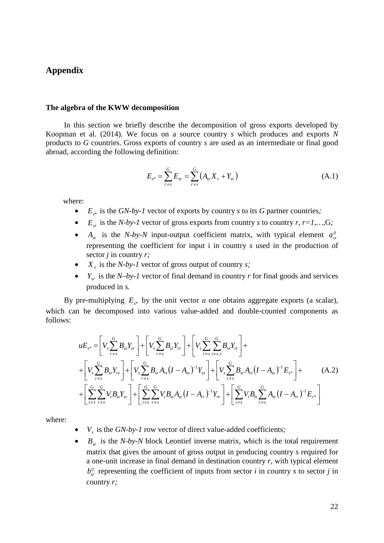# <span id="page-21-0"></span>**Appendix**

#### **The algebra of the KWW decomposition**

In this section we briefly describe the decomposition of gross exports developed by Koopman et al. (2014). We focus on a source country *s* which produces and exports *N* products to *G* countries. Gross exports of country *s* are used as an intermediate or final good abroad, according the following definition:

$$
E_{s^*} = \sum_{r=s}^{G} E_{sr} = \sum_{r=s}^{G} (A_{sr} X_r + Y_{sr})
$$
 (A.1)

where:

- $E_{s^*}$  is the *GN-by-1* vector of exports by country *s* to its *G* partner countries;
- $E_{sr}$  is the *N-by-1* vector of gross exports from country *s* to country *r*, *r*=1,...,G;
- $A_{sr}$  is the *N-by-N* input-output coefficient matrix, with typical element  $a_{sr}^{ij}$ representing the coefficient for input i in country *s* used in the production of sector *j* in country *r;*
- $X<sub>s</sub>$  is the *N-by-1* vector of gross output of country *s*;
- $Y_{sr}$  is the *N–by-1* vector of final demand in country *r* for final goods and services produced in *s.*

By pre-multiplying  $E_{\ast}$  by the unit vector *u* one obtains aggregate exports (a scalar), which can be decomposed into various value-added and double-counted components as follows:

$$
uE_{s^*} = \left[ V_s \sum_{r \neq s}^{G} B_{ss} Y_{sr} \right] + \left[ V_s \sum_{r \neq s}^{G} B_{sr} Y_{rr} \right] + \left[ V_s \sum_{r \neq s}^{G} \sum_{t \neq s, r}^{G} B_{sr} Y_{rt} \right] +
$$
  
+ 
$$
\left[ V_s \sum_{r \neq s}^{G} B_{sr} Y_{rs} \right] + \left[ V_s \sum_{r \neq s}^{G} B_{sr} A_{rs} (I - A_{ss})^{-1} Y_{ss} \right] + \left[ V_s \sum_{r \neq s}^{G} B_{sr} A_{rs} (I - A_{ss})^{-1} E_{s^*} \right] +
$$
  
+ 
$$
\left[ \sum_{t \neq s}^{G} \sum_{r \neq s}^{G} V_t B_{sr} Y_{sr} \right] + \left[ \sum_{t \neq s}^{G} \sum_{r \neq s}^{G} V_t B_{rs} A_{sr} (I - A_{rr})^{-1} Y_{rr} \right] + \left[ \sum_{t \neq s}^{G} V_t B_{rs} \sum_{r \neq s}^{G} A_{sr} (I - A_{rr})^{-1} E_{r^*} \right]
$$
(A.2)

where:

- $V_s$  is the *GN-by-1* row vector of direct value-added coefficients;
- $B_{sr}$  is the *N-by-N* block Leontief inverse matrix, which is the total requirement matrix that gives the amount of gross output in producing country *s* required for a one-unit increase in final demand in destination country *r,* with typical element  $b_{sr}^{ij}$  representing the coefficient of inputs from sector *i* in country *s* to sector *j* in country *r;*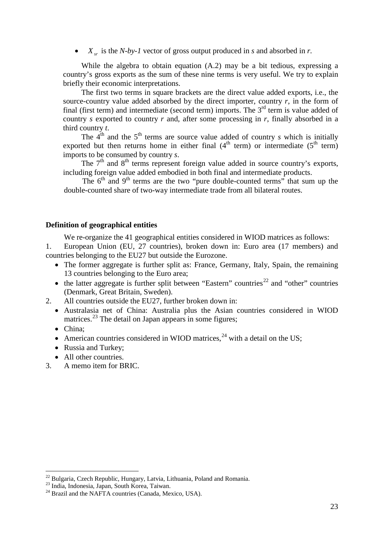$X_{sr}$  is the *N-by-1* vector of gross output produced in *s* and absorbed in *r*.

While the algebra to obtain equation (A.2) may be a bit tedious, expressing a country's gross exports as the sum of these nine terms is very useful. We try to explain briefly their economic interpretations.

The first two terms in square brackets are the direct value added exports, i.e., the source-country value added absorbed by the direct importer, country  $r$ , in the form of final (first term) and intermediate (second term) imports. The  $3<sup>rd</sup>$  term is value added of country *s* exported to country *r* and, after some processing in *r*, finally absorbed in a third country *t*.

The  $4^{th}$  and the  $5^{th}$  terms are source value added of country *s* which is initially exported but then returns home in either final  $(4<sup>th</sup>$  term) or intermediate  $(5<sup>th</sup>$  term) imports to be consumed by country *s*.

The  $7<sup>th</sup>$  and  $8<sup>th</sup>$  terms represent foreign value added in source country's exports, including foreign value added embodied in both final and intermediate products.

The  $6<sup>th</sup>$  and  $9<sup>th</sup>$  terms are the two "pure double-counted terms" that sum up the double-counted share of two-way intermediate trade from all bilateral routes.

#### **Definition of geographical entities**

We re-organize the 41 geographical entities considered in WIOD matrices as follows:

1. European Union (EU, 27 countries), broken down in: Euro area (17 members) and countries belonging to the EU27 but outside the Eurozone.

- The former aggregate is further split as: France, Germany, Italy, Spain, the remaining 13 countries belonging to the Euro area;
- the latter aggregate is further split between "Eastern" countries<sup>[22](#page-22-0)</sup> and "other" countries (Denmark, Great Britain, Sweden).
- 2. All countries outside the EU27, further broken down in:
	- Australasia net of China: Australia plus the Asian countries considered in WIOD matrices.<sup>[23](#page-22-1)</sup> The detail on Japan appears in some figures;
	- China;

-

- American countries considered in WIOD matrices,  $^{24}$  $^{24}$  $^{24}$  with a detail on the US;
- Russia and Turkey;
- All other countries.
- 3. A memo item for BRIC.

<span id="page-22-0"></span><sup>&</sup>lt;sup>22</sup> Bulgaria, Czech Republic, Hungary, Latvia, Lithuania, Poland and Romania.<br><sup>23</sup> India, Indonesia, Japan, South Korea, Taiwan.<br><sup>24</sup> Brazil and the NAFTA countries (Canada, Mexico, USA).

<span id="page-22-1"></span>

<span id="page-22-2"></span>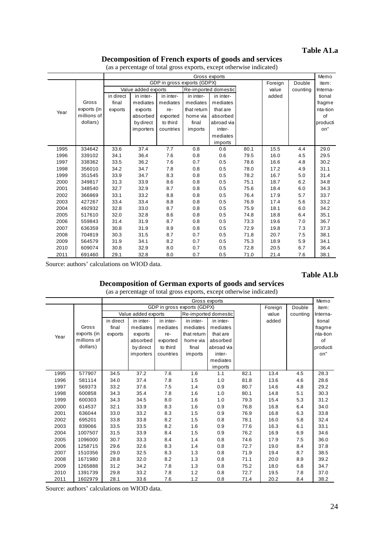# **Table A1.a**

### **Decomposition of French exports of goods and services**

|      |             |           |                     |           |                             | Gross exports        |      |         |          | Memo     |
|------|-------------|-----------|---------------------|-----------|-----------------------------|----------------------|------|---------|----------|----------|
|      |             |           |                     |           | GDP in gross exports (GDPX) |                      |      | Foreign | Double   | item:    |
|      |             |           | Value added exports |           |                             | Re-imported domestic |      | value   | counting | Interna- |
|      |             | in direct | in inter-           | in inter- | in inter-                   | in inter-            |      | added   |          | tional   |
|      | Gross       | final     | mediates            | mediates  | mediates                    | mediates             |      |         |          | fragme   |
| Year | exports (in | exports   | exports             | re-       | that return                 | that are             |      |         |          | nta-tion |
|      | millions of |           | absorbed            | exported  | home via                    | absorbed             |      |         |          | of       |
|      | dollars)    |           | by direct           | to third  | final                       | abroad via           |      |         |          | producti |
|      |             |           | importers           | countries | imports                     | inter-               |      |         |          | on"      |
|      |             |           |                     |           |                             | mediates             |      |         |          |          |
|      |             |           |                     |           |                             | imports              |      |         |          |          |
| 1995 | 334642      | 33.6      | 37.4                | 7.7       | 0.8                         | 0.6                  | 80.1 | 15.5    | 4.4      | 29.0     |
| 1996 | 339102      | 34.1      | 36.4                | 7.6       | 0.8                         | 0.6                  | 79.5 | 16.0    | 4.5      | 29.5     |
| 1997 | 338362      | 33.5      | 36.2                | 7.6       | 0.7                         | 0.5                  | 78.6 | 16.6    | 4.8      | 30.2     |
| 1998 | 356010      | 34.2      | 34.7                | 7.8       | 0.8                         | 0.5                  | 78.0 | 17.2    | 4.9      | 31.1     |
| 1999 | 351545      | 33.9      | 34.7                | 8.3       | 0.8                         | 0.5                  | 78.2 | 16.7    | 5.0      | 31.4     |
| 2000 | 349817      | 31.3      | 33.9                | 8.6       | 0.8                         | 0.5                  | 75.1 | 18.7    | 6.2      | 34.8     |
| 2001 | 348540      | 32.7      | 32.9                | 8.7       | 0.8                         | 0.5                  | 75.6 | 18.4    | 6.0      | 34.3     |
| 2002 | 366869      | 33.1      | 33.2                | 8.8       | 0.8                         | 0.5                  | 76.4 | 17.9    | 5.7      | 33.7     |
| 2003 | 427267      | 33.4      | 33.4                | 8.8       | 0.8                         | 0.5                  | 76.9 | 17.4    | 5.6      | 33.2     |
| 2004 | 492932      | 32.8      | 33.0                | 8.7       | 0.8                         | 0.5                  | 75.9 | 18.1    | 6.0      | 34.2     |
| 2005 | 517610      | 32.0      | 32.8                | 8.6       | 0.8                         | 0.5                  | 74.8 | 18.8    | 6.4      | 35.1     |
| 2006 | 559843      | 31.4      | 31.9                | 8.7       | 0.8                         | 0.5                  | 73.3 | 19.6    | 7.0      | 36.7     |
| 2007 | 636359      | 30.8      | 31.9                | 8.9       | 0.8                         | 0.5                  | 72.9 | 19.8    | 7.3      | 37.3     |
| 2008 | 704819      | 30.3      | 31.5                | 8.7       | 0.7                         | 0.5                  | 71.8 | 20.7    | 7.5      | 38.1     |
| 2009 | 564579      | 31.9      | 34.1                | 8.2       | 0.7                         | 0.5                  | 75.3 | 18.9    | 5.9      | 34.1     |
| 2010 | 609074      | 30.8      | 32.9                | 8.0       | 0.7                         | 0.5                  | 72.8 | 20.5    | 6.7      | 36.4     |
| 2011 | 691460      | 29.1      | 32.8                | 8.0       | 0.7                         | 0.5                  | 71.0 | 21.4    | 7.6      | 38.1     |

(as a percentage of total gross exports, except otherwise indicated)

Source: authors' calculations on WIOD data.

#### **Table A1.b**

#### **Decomposition of German exports of goods and services**

(as a percentage of total gross exports, except otherwise indicated)

|      |             |           |                     |           |                             | (as a percentage or tour gross exports, except surer who mercure<br>Gross exports |      |         |          | Memo     |
|------|-------------|-----------|---------------------|-----------|-----------------------------|-----------------------------------------------------------------------------------|------|---------|----------|----------|
|      |             |           |                     |           | GDP in gross exports (GDPX) |                                                                                   |      | Foreign | Double   | item:    |
|      |             |           | Value added exports |           |                             | Re-imported domestic                                                              |      | value   | counting | Interna- |
|      |             | in direct | in inter-           | in inter- | in inter-                   | in inter-                                                                         |      | added   |          | tional   |
|      | Gross       | final     | mediates            | mediates  | mediates                    | mediates                                                                          |      |         |          | fragme   |
| Year | exports (in | exports   | exports             | re-       | that return                 | that are                                                                          |      |         |          | nta-tion |
|      | millions of |           | absorbed            | exported  | home via                    | absorbed                                                                          |      |         |          | of       |
|      | dollars)    |           | by direct           | to third  | final                       | abroad via                                                                        |      |         |          | producti |
|      |             |           | importers           | countries | imports                     | inter-                                                                            |      |         |          | on"      |
|      |             |           |                     |           |                             | mediates                                                                          |      |         |          |          |
|      |             |           |                     |           |                             | imports                                                                           |      |         |          |          |
| 1995 | 577907      | 34.5      | 37.2                | 7.6       | 1.6                         | 1.1                                                                               | 82.1 | 13.4    | 4.5      | 28.3     |
| 1996 | 581114      | 34.0      | 37.4                | 7.8       | 1.5                         | 1.0                                                                               | 81.8 | 13.6    | 4.6      | 28.6     |
| 1997 | 569373      | 33.2      | 37.6                | 7.5       | 1.4                         | 0.9                                                                               | 80.7 | 14.6    | 4.8      | 29.2     |
| 1998 | 600858      | 34.3      | 35.4                | 7.8       | 1.6                         | 1.0                                                                               | 80.1 | 14.8    | 5.1      | 30.3     |
| 1999 | 600303      | 34.3      | 34.5                | 8.0       | 1.6                         | 1.0                                                                               | 79.3 | 15.4    | 5.3      | 31.2     |
| 2000 | 614537      | 32.1      | 33.9                | 8.3       | 1.6                         | 0.9                                                                               | 76.8 | 16.8    | 6.4      | 34.0     |
| 2001 | 636044      | 33.0      | 33.2                | 8.3       | 1.5                         | 0.9                                                                               | 76.9 | 16.8    | 6.3      | 33.8     |
| 2002 | 695201      | 33.8      | 33.8                | 8.2       | 1.5                         | 0.8                                                                               | 78.1 | 16.0    | 5.8      | 32.4     |
| 2003 | 839066      | 33.5      | 33.5                | 8.2       | 1.6                         | 0.9                                                                               | 77.6 | 16.3    | 6.1      | 33.1     |
| 2004 | 1007507     | 31.5      | 33.9                | 8.4       | 1.5                         | 0.9                                                                               | 76.2 | 16.9    | 6.9      | 34.6     |
| 2005 | 1096000     | 30.7      | 33.3                | 8.4       | 1.4                         | 0.8                                                                               | 74.6 | 17.9    | 7.5      | 36.0     |
| 2006 | 1258715     | 29.6      | 32.6                | 8.3       | 1.4                         | 0.8                                                                               | 72.7 | 19.0    | 8.4      | 37.8     |
| 2007 | 1510356     | 29.0      | 32.5                | 8.3       | 1.3                         | 0.8                                                                               | 71.9 | 19.4    | 8.7      | 38.5     |
| 2008 | 1671980     | 28.8      | 32.0                | 8.2       | 1.3                         | 0.8                                                                               | 71.1 | 20.0    | 8.9      | 39.2     |
| 2009 | 1265888     | 31.2      | 34.2                | 7.8       | 1.3                         | 0.8                                                                               | 75.2 | 18.0    | 6.8      | 34.7     |
| 2010 | 1391739     | 29.8      | 33.2                | 7.8       | 1.2                         | 0.8                                                                               | 72.7 | 19.5    | 7.8      | 37.0     |
| 2011 | 1602979     | 28.1      | 33.6                | 7.6       | 1.2                         | 0.8                                                                               | 71.4 | 20.2    | 8.4      | 38.2     |

Source: authors' calculations on WIOD data.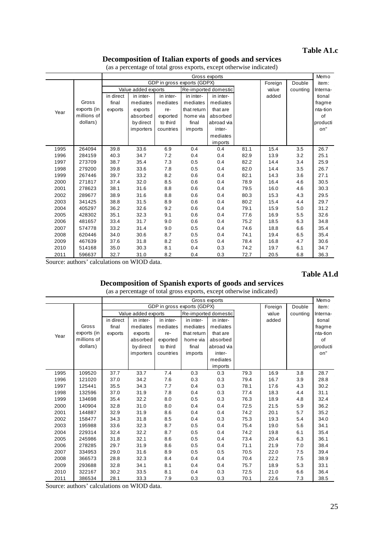# **Table A1.c**

### **Decomposition of Italian exports of goods and services**

|      |             |           |                     |           |                             | Gross exports        |      |         |          | Memo     |
|------|-------------|-----------|---------------------|-----------|-----------------------------|----------------------|------|---------|----------|----------|
|      |             |           |                     |           | GDP in gross exports (GDPX) |                      |      | Foreign | Double   | item:    |
|      |             |           | Value added exports |           |                             | Re-imported domestic |      | value   | counting | Interna- |
|      |             | in direct | in inter-           | in inter- | in inter-                   | in inter-            |      | added   |          | tional   |
|      | Gross       | final     | mediates            | mediates  | mediates                    | mediates             |      |         |          | fragme   |
| Year | exports (in | exports   | exports             | re-       | that return                 | that are             |      |         |          | nta-tion |
|      | millions of |           | absorbed            | exported  | home via                    | absorbed             |      |         |          | of       |
|      | dollars)    |           | by direct           | to third  | final                       | abroad via           |      |         |          | producti |
|      |             |           | importers           | countries | imports                     | inter-               |      |         |          | on"      |
|      |             |           |                     |           |                             | mediates             |      |         |          |          |
|      |             |           |                     |           |                             | imports              |      |         |          |          |
| 1995 | 264094      | 39.8      | 33.6                | 6.9       | 0.4                         | 0.4                  | 81.1 | 15.4    | 3.5      | 26.7     |
| 1996 | 284159      | 40.3      | 34.7                | 7.2       | 0.4                         | 0.4                  | 82.9 | 13.9    | 3.2      | 25.1     |
| 1997 | 273709      | 38.7      | 35.4                | 7.3       | 0.5                         | 0.4                  | 82.2 | 14.4    | 3.4      | 25.9     |
| 1998 | 279200      | 39.8      | 33.6                | 7.8       | 0.5                         | 0.4                  | 82.0 | 14.4    | 3.5      | 26.7     |
| 1999 | 267446      | 39.7      | 33.2                | 8.2       | 0.6                         | 0.4                  | 82.1 | 14.3    | 3.6      | 27.1     |
| 2000 | 271817      | 37.4      | 32.0                | 8.5       | 0.6                         | 0.4                  | 78.9 | 16.4    | 4.6      | 30.5     |
| 2001 | 278623      | 38.1      | 31.6                | 8.8       | 0.6                         | 0.4                  | 79.5 | 16.0    | 4.6      | 30.3     |
| 2002 | 289677      | 38.9      | 31.6                | 8.8       | 0.6                         | 0.4                  | 80.3 | 15.3    | 4.3      | 29.5     |
| 2003 | 341425      | 38.8      | 31.5                | 8.9       | 0.6                         | 0.4                  | 80.2 | 15.4    | 4.4      | 29.7     |
| 2004 | 405297      | 36.2      | 32.6                | 9.2       | 0.6                         | 0.4                  | 79.1 | 15.9    | 5.0      | 31.2     |
| 2005 | 428302      | 35.1      | 32.3                | 9.1       | 0.6                         | 0.4                  | 77.6 | 16.9    | 5.5      | 32.6     |
| 2006 | 481657      | 33.4      | 31.7                | 9.0       | 0.6                         | 0.4                  | 75.2 | 18.5    | 6.3      | 34.8     |
| 2007 | 574778      | 33.2      | 31.4                | 9.0       | 0.5                         | 0.4                  | 74.6 | 18.8    | 6.6      | 35.4     |
| 2008 | 620446      | 34.0      | 30.6                | 8.7       | 0.5                         | 0.4                  | 74.1 | 19.4    | 6.5      | 35.4     |
| 2009 | 467639      | 37.6      | 31.8                | 8.2       | 0.5                         | 0.4                  | 78.4 | 16.8    | 4.7      | 30.6     |
| 2010 | 514168      | 35.0      | 30.3                | 8.1       | 0.4                         | 0.3                  | 74.2 | 19.7    | 6.1      | 34.7     |
| 2011 | 596637      | 32.7      | 31.0                | 8.2       | 0.4                         | 0.3                  | 72.7 | 20.5    | 6.8      | 36.3     |

(as a percentage of total gross exports, except otherwise indicated)

Source: authors' calculations on WIOD data.

#### **Table A1.d**

### **Decomposition of Spanish exports of goods and services**

(as a percentage of total gross exports, except otherwise indicated)

|      |             |           |                     |           |                             | Gross exports        |      |         |          | Memo     |
|------|-------------|-----------|---------------------|-----------|-----------------------------|----------------------|------|---------|----------|----------|
|      |             |           |                     |           | GDP in gross exports (GDPX) |                      |      | Foreign | Double   | item:    |
|      |             |           | Value added exports |           |                             | Re-imported domestic |      | value   | counting | Interna- |
|      |             | in direct | in inter-           | in inter- | in inter-                   | in inter-            |      | added   |          | tional   |
|      | Gross       | final     | mediates            | mediates  | mediates                    | mediates             |      |         |          | fragme   |
| Year | exports (in | exports   | exports             | re-       | that return                 | that are             |      |         |          | nta-tion |
|      | millions of |           | absorbed            | exported  | home via                    | absorbed             |      |         |          | of       |
|      | dollars)    |           | by direct           | to third  | final                       | abroad via           |      |         |          | producti |
|      |             |           | importers           | countries | imports                     | inter-               |      |         |          | on"      |
|      |             |           |                     |           |                             | mediates             |      |         |          |          |
|      |             |           |                     |           |                             | imports              |      |         |          |          |
| 1995 | 109520      | 37.7      | 33.7                | 7.4       | 0.3                         | 0.3                  | 79.3 | 16.9    | 3.8      | 28.7     |
| 1996 | 121020      | 37.0      | 34.2                | 7.6       | 0.3                         | 0.3                  | 79.4 | 16.7    | 3.9      | 28.8     |
| 1997 | 125441      | 35.5      | 34.3                | 7.7       | 0.4                         | 0.3                  | 78.1 | 17.6    | 4.3      | 30.2     |
| 1998 | 132596      | 37.0      | 31.9                | 7.8       | 0.4                         | 0.3                  | 77.4 | 18.3    | 4.4      | 31.1     |
| 1999 | 134698      | 35.4      | 32.2                | 8.0       | 0.5                         | 0.3                  | 76.3 | 18.9    | 4.8      | 32.4     |
| 2000 | 140904      | 32.8      | 31.0                | 8.0       | 0.4                         | 0.4                  | 72.5 | 21.5    | 5.9      | 36.2     |
| 2001 | 144887      | 32.9      | 31.9                | 8.6       | 0.4                         | 0.4                  | 74.2 | 20.1    | 5.7      | 35.2     |
| 2002 | 158477      | 34.3      | 31.8                | 8.5       | 0.4                         | 0.3                  | 75.3 | 19.3    | 5.4      | 34.0     |
| 2003 | 195988      | 33.6      | 32.3                | 8.7       | 0.5                         | 0.4                  | 75.4 | 19.0    | 5.6      | 34.1     |
| 2004 | 229314      | 32.4      | 32.2                | 8.7       | 0.5                         | 0.4                  | 74.2 | 19.8    | 6.1      | 35.4     |
| 2005 | 245986      | 31.8      | 32.1                | 8.6       | 0.5                         | 0.4                  | 73.4 | 20.4    | 6.3      | 36.1     |
| 2006 | 278285      | 29.7      | 31.9                | 8.6       | 0.5                         | 0.4                  | 71.1 | 21.9    | 7.0      | 38.4     |
| 2007 | 334953      | 29.0      | 31.6                | 8.9       | 0.5                         | 0.5                  | 70.5 | 22.0    | 7.5      | 39.4     |
| 2008 | 366573      | 28.8      | 32.3                | 8.4       | 0.4                         | 0.4                  | 70.4 | 22.2    | 7.5      | 38.9     |
| 2009 | 293688      | 32.8      | 34.1                | 8.1       | 0.4                         | 0.4                  | 75.7 | 18.9    | 5.3      | 33.1     |
| 2010 | 322167      | 30.2      | 33.5                | 8.1       | 0.4                         | 0.3                  | 72.5 | 21.0    | 6.6      | 36.4     |
| 2011 | 386534      | 28.1      | 33.3                | 7.9       | 0.3                         | 0.3                  | 70.1 | 22.6    | 7.3      | 38.5     |

Source: authors' calculations on WIOD data.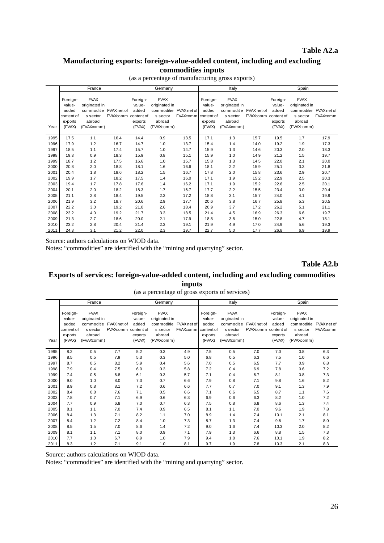### **Table A2.a**

# **Manufacturing exports: foreign-value-added content, including and excluding commodities inputs**

|      |                                                                | France                                                                         |                                |                                                                | Germany                                                                        |                                |                                                                | Italy                                                                          |                                    |                                                  | Spain                                                                                      |                 |
|------|----------------------------------------------------------------|--------------------------------------------------------------------------------|--------------------------------|----------------------------------------------------------------|--------------------------------------------------------------------------------|--------------------------------|----------------------------------------------------------------|--------------------------------------------------------------------------------|------------------------------------|--------------------------------------------------|--------------------------------------------------------------------------------------------|-----------------|
| Year | Foreign-<br>value-<br>added<br>content of<br>exports<br>(FVAX) | <b>FVAX</b><br>originated in<br>commoditie<br>s sector<br>abroad<br>(FVAXcomm) | FVAX net of<br><b>FVAXcomm</b> | Foreign-<br>value-<br>added<br>content of<br>exports<br>(FVAX) | <b>FVAX</b><br>originated in<br>commoditie<br>s sector<br>abroad<br>(FVAXcomm) | FVAX net of<br><b>FVAXcomm</b> | Foreign-<br>value-<br>added<br>content of<br>exports<br>(FVAX) | <b>FVAX</b><br>originated in<br>commoditie<br>s sector<br>abroad<br>(FVAXcomm) | FVAX net of<br>FVAXcomm content of | Foreign-<br>value-<br>added<br>exports<br>(FVAX) | <b>FVAX</b><br>originated in<br>commoditie FVAX net of<br>s sector<br>abroad<br>(FVAXcomm) | <b>FVAXcomm</b> |
| 1995 | 17.5                                                           | 1.1                                                                            | 16.4                           | 14.4                                                           | 0.9                                                                            | 13.5                           | 17.1                                                           | 1.3                                                                            | 15.7                               | 19.5                                             | 1.7                                                                                        | 17.9            |
| 1996 | 17.9                                                           | 1.2                                                                            | 16.7                           | 14.7                                                           | 1.0                                                                            | 13.7                           | 15.4                                                           | 1.4                                                                            | 14.0                               | 19.2                                             | 1.9                                                                                        | 17.3            |
| 1997 | 18.5                                                           | 1.1                                                                            | 17.4                           | 15.7                                                           | 1.0                                                                            | 14.7                           | 15.9                                                           | 1.3                                                                            | 14.6                               | 20.3                                             | 2.0                                                                                        | 18.3            |
| 1998 | 19.3                                                           | 0.9                                                                            | 18.3                           | 15.9                                                           | 0.8                                                                            | 15.1                           | 15.9                                                           | 1.0                                                                            | 14.9                               | 21.2                                             | 1.5                                                                                        | 19.7            |
| 1999 | 18.7                                                           | 1.2                                                                            | 17.5                           | 16.6                                                           | 1.0                                                                            | 15.7                           | 15.8                                                           | 1.3                                                                            | 14.5                               | 22.0                                             | 2.1                                                                                        | 20.0            |
| 2000 | 20.8                                                           | 2.0                                                                            | 18.8                           | 18.1                                                           | 1.6                                                                            | 16.6                           | 18.1                                                           | 2.2                                                                            | 15.9                               | 25.1                                             | 3.3                                                                                        | 21.8            |
| 2001 | 20.4                                                           | 1.8                                                                            | 18.6                           | 18.2                                                           | 1.5                                                                            | 16.7                           | 17.8                                                           | 2.0                                                                            | 15.8                               | 23.6                                             | 2.9                                                                                        | 20.7            |
| 2002 | 19.9                                                           | 1.7                                                                            | 18.2                           | 17.5                                                           | 1.4                                                                            | 16.0                           | 17.1                                                           | 1.9                                                                            | 15.2                               | 22.9                                             | 2.5                                                                                        | 20.3            |
| 2003 | 19.4                                                           | 1.7                                                                            | 17.8                           | 17.6                                                           | 1.4                                                                            | 16.2                           | 17.1                                                           | 1.9                                                                            | 15.2                               | 22.6                                             | 2.5                                                                                        | 20.1            |
| 2004 | 20.1                                                           | 2.0                                                                            | 18.2                           | 18.3                                                           | 1.7                                                                            | 16.7                           | 17.7                                                           | 2.2                                                                            | 15.5                               | 23.4                                             | 3.0                                                                                        | 20.4            |
| 2005 | 21.1                                                           | 2.8                                                                            | 18.4                           | 19.5                                                           | 2.3                                                                            | 17.2                           | 18.8                                                           | 3.1                                                                            | 15.7                               | 24.0                                             | 4.1                                                                                        | 19.9            |
| 2006 | 21.9                                                           | 3.2                                                                            | 18.7                           | 20.6                                                           | 2.9                                                                            | 17.7                           | 20.6                                                           | 3.8                                                                            | 16.7                               | 25.8                                             | 5.3                                                                                        | 20.5            |
| 2007 | 22.2                                                           | 3.0                                                                            | 19.2                           | 21.0                                                           | 2.6                                                                            | 18.4                           | 20.9                                                           | 3.7                                                                            | 17.2                               | 26.2                                             | 5.1                                                                                        | 21.1            |
| 2008 | 23.2                                                           | 4.0                                                                            | 19.2                           | 21.7                                                           | 3.3                                                                            | 18.5                           | 21.4                                                           | 4.5                                                                            | 16.9                               | 26.3                                             | 6.6                                                                                        | 19.7            |
| 2009 | 21.3                                                           | 2.7                                                                            | 18.6                           | 20.0                                                           | 2.1                                                                            | 17.9                           | 18.8                                                           | 3.8                                                                            | 15.0                               | 22.8                                             | 4.7                                                                                        | 18.1            |
| 2010 | 23.2                                                           | 2.8                                                                            | 20.4                           | 21.4                                                           | 2.3                                                                            | 19.1                           | 21.9                                                           | 4.9                                                                            | 17.0                               | 24.9                                             | 5.6                                                                                        | 19.3            |
| 2011 | 24.3                                                           | 3.1                                                                            | 21.2                           | 22.0                                                           | 2.3                                                                            | 19.7                           | 22.7                                                           | 5.0                                                                            | 17.7                               | 26.8                                             | 6.9                                                                                        | 19.9            |

(as a percentage of manufacturing gross exports)

Source: authors calculations on WIOD data.

Notes: "commodities" are identified with the "mining and quarrying" sector.

**Table A2.b**

### **Exports of services: foreign-value-added content, including and excluding commodities inputs**

(as a percentage of gross exports of services)

|      |                                                                | France                                                                                     |                     |                                                  | Germany                                                                                    |                 |                                                                | Italy                                                                                      |          |                                                                | Spain                                                                                      |                 |
|------|----------------------------------------------------------------|--------------------------------------------------------------------------------------------|---------------------|--------------------------------------------------|--------------------------------------------------------------------------------------------|-----------------|----------------------------------------------------------------|--------------------------------------------------------------------------------------------|----------|----------------------------------------------------------------|--------------------------------------------------------------------------------------------|-----------------|
| Year | Foreign-<br>value-<br>added<br>content of<br>exports<br>(FVAX) | <b>FVAX</b><br>originated in<br>commoditie FVAX net of<br>s sector<br>abroad<br>(FVAXcomm) | FVAXcomm content of | Foreign-<br>value-<br>added<br>exports<br>(FVAX) | <b>FVAX</b><br>originated in<br>commoditie FVAX net of<br>s sector<br>abroad<br>(FVAXcomm) | <b>FVAXcomm</b> | Foreign-<br>value-<br>added<br>content of<br>exports<br>(FVAX) | <b>FVAX</b><br>originated in<br>commoditie FVAX net of<br>s sector<br>abroad<br>(FVAXcomm) | FVAXcomm | Foreign-<br>value-<br>added<br>content of<br>exports<br>(FVAX) | <b>FVAX</b><br>originated in<br>commoditie FVAX net of<br>s sector<br>abroad<br>(FVAXcomm) | <b>FVAXcomm</b> |
| 1995 | 8.2                                                            | 0.5                                                                                        | 7.7                 | 5.2                                              | 0.3                                                                                        | 4.9             | 7.5                                                            | 0.5                                                                                        | 7.0      | 7.0                                                            | 0.8                                                                                        | 6.3             |
| 1996 | 8.5                                                            | 0.5                                                                                        | 7.9                 | 5.3                                              | 0.3                                                                                        | 5.0             | 6.8                                                            | 0.5                                                                                        | 6.3      | 7.5                                                            | 1.0                                                                                        | 6.6             |
| 1997 | 8.7                                                            | 0.5                                                                                        | 8.2                 | 5.9                                              | 0.4                                                                                        | 5.6             | 7.0                                                            | 0.5                                                                                        | 6.5      | 7.7                                                            | 0.9                                                                                        | 6.8             |
| 1998 | 7.9                                                            | 0.4                                                                                        | 7.5                 | 6.0                                              | 0.3                                                                                        | 5.8             | 7.2                                                            | 0.4                                                                                        | 6.9      | 7.8                                                            | 0.6                                                                                        | 7.2             |
| 1999 | 7.4                                                            | 0.5                                                                                        | 6.8                 | 6.1                                              | 0.3                                                                                        | 5.7             | 7.1                                                            | 0.4                                                                                        | 6.7      | 8.1                                                            | 0.8                                                                                        | 7.3             |
| 2000 | 9.0                                                            | 1.0                                                                                        | 8.0                 | 7.3                                              | 0.7                                                                                        | 6.6             | 7.9                                                            | 0.8                                                                                        | 7.1      | 9.8                                                            | 1.6                                                                                        | 8.2             |
| 2001 | 8.9                                                            | 0.8                                                                                        | 8.1                 | 7.2                                              | 0.6                                                                                        | 6.6             | 7.7                                                            | 0.7                                                                                        | 7.0      | 9.1                                                            | 1.3                                                                                        | 7.9             |
| 2002 | 8.4                                                            | 0.8                                                                                        | 7.6                 | 7.1                                              | 0.5                                                                                        | 6.6             | 7.1                                                            | 0.6                                                                                        | 6.5      | 8.7                                                            | 1.1                                                                                        | 7.6             |
| 2003 | 7.8                                                            | 0.7                                                                                        | 7.1                 | 6.9                                              | 0.6                                                                                        | 6.3             | 6.9                                                            | 0.6                                                                                        | 6.3      | 8.2                                                            | 1.0                                                                                        | 7.2             |
| 2004 | 7.7                                                            | 0.9                                                                                        | 6.8                 | 7.0                                              | 0.7                                                                                        | 6.3             | 7.5                                                            | 0.8                                                                                        | 6.8      | 8.6                                                            | 1.3                                                                                        | 7.4             |
| 2005 | 8.1                                                            | 1.1                                                                                        | 7.0                 | 7.4                                              | 0.9                                                                                        | 6.5             | 8.1                                                            | 1.1                                                                                        | 7.0      | 9.6                                                            | 1.9                                                                                        | 7.8             |
| 2006 | 8.4                                                            | 1.3                                                                                        | 7.1                 | 8.2                                              | 1.1                                                                                        | 7.0             | 8.9                                                            | 1.4                                                                                        | 7.4      | 10.1                                                           | 2.1                                                                                        | 8.1             |
| 2007 | 8.4                                                            | 1.2                                                                                        | 7.2                 | 8.4                                              | 1.0                                                                                        | 7.3             | 8.7                                                            | 1.3                                                                                        | 7.4      | 9.6                                                            | 1.7                                                                                        | 8.0             |
| 2008 | 8.5                                                            | 1.5                                                                                        | 7.0                 | 8.6                                              | 1.4                                                                                        | 7.2             | 9.0                                                            | 1.6                                                                                        | 7.4      | 10.3                                                           | 2.0                                                                                        | 8.2             |
| 2009 | 8.1                                                            | 1.1                                                                                        | 7.1                 | 8.0                                              | 0.9                                                                                        | 7.1             | 7.9                                                            | 1.3                                                                                        | 6.6      | 8.8                                                            | 1.5                                                                                        | 7.3             |
| 2010 | 7.7                                                            | 1.0                                                                                        | 6.7                 | 8.9                                              | 1.0                                                                                        | 7.9             | 9.4                                                            | 1.8                                                                                        | 7.6      | 10.1                                                           | 1.9                                                                                        | 8.2             |
| 2011 | 8.3                                                            | 1.2                                                                                        | 7.1                 | 9.1                                              | 1.0                                                                                        | 8.1             | 9.7                                                            | 1.9                                                                                        | 7.8      | 10.3                                                           | 2.1                                                                                        | 8.3             |

Source: authors calculations on WIOD data.

Notes: "commodities" are identified with the "mining and quarrying" sector.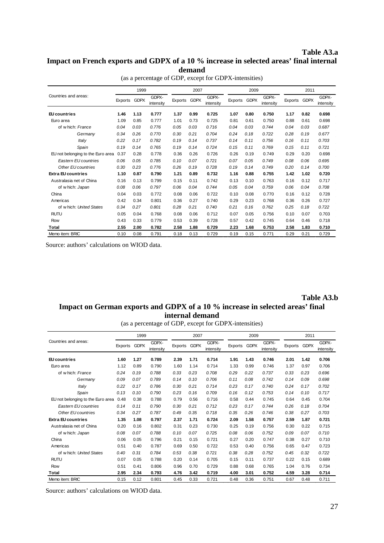### **Table A3.a Impact on French exports and GDPX of a 10 % increase in selected areas' final internal demand**

|                                   |              | 1999 |                    |         | 2007        |                    |         | 2009        |                    |              | 2011 |                    |
|-----------------------------------|--------------|------|--------------------|---------|-------------|--------------------|---------|-------------|--------------------|--------------|------|--------------------|
| Countries and areas:              | Exports GDPX |      | GDPX-<br>intensity | Exports | <b>GDPX</b> | GDPX-<br>intensity | Exports | <b>GDPX</b> | GDPX-<br>intensity | Exports GDPX |      | GDPX-<br>intensity |
| EU countries                      | 1.46         | 1.13 | 0.777              | 1.37    | 0.99        | 0.725              | 1.07    | 0.80        | 0.750              | 1.17         | 0.82 | 0.698              |
| Euro area                         | 1.09         | 0.85 | 0.777              | 1.01    | 0.73        | 0.725              | 0.81    | 0.61        | 0.750              | 0.88         | 0.61 | 0.698              |
| of w hich: France                 | 0.04         | 0.03 | 0.776              | 0.05    | 0.03        | 0.716              | 0.04    | 0.03        | 0.744              | 0.04         | 0.03 | 0.687              |
| Germany                           | 0.34         | 0.26 | 0.770              | 0.30    | 0.21        | 0.704              | 0.24    | 0.18        | 0.722              | 0.28         | 0.19 | 0.677              |
| Italy                             | 0.22         | 0.17 | 0.782              | 0.19    | 0.14        | 0.737              | 0.14    | 0.11        | 0.756              | 0.16         | 0.11 | 0.703              |
| Spain                             | 0.19         | 0.14 | 0.765              | 0.19    | 0.14        | 0.724              | 0.15    | 0.11        | 0.769              | 0.15         | 0.11 | 0.721              |
| EU not belonging to the Euro area | 0.37         | 0.28 | 0.778              | 0.36    | 0.26        | 0.726              | 0.26    | 0.19        | 0.749              | 0.29         | 0.20 | 0.698              |
| Eastern EU countries              | 0.06         | 0.05 | 0.785              | 0.10    | 0.07        | 0.721              | 0.07    | 0.05        | 0.749              | 0.08         | 0.06 | 0.695              |
| Other EU countries                | 0.30         | 0.23 | 0.776              | 0.26    | 0.19        | 0.728              | 0.19    | 0.14        | 0.749              | 0.20         | 0.14 | 0.700              |
| <b>Extra EU countries</b>         | 1.10         | 0.87 | 0.790              | 1.21    | 0.89        | 0.732              | 1.16    | 0.88        | 0.755              | 1.42         | 1.02 | 0.720              |
| Australasia net of China          | 0.16         | 0.13 | 0.799              | 0.15    | 0.11        | 0.742              | 0.13    | 0.10        | 0.763              | 0.16         | 0.12 | 0.717              |
| of w hich: Japan                  | 0.08         | 0.06 | 0.797              | 0.06    | 0.04        | 0.744              | 0.05    | 0.04        | 0.759              | 0.06         | 0.04 | 0.708              |
| China                             | 0.04         | 0.03 | 0.772              | 0.08    | 0.06        | 0.722              | 0.10    | 0.08        | 0.770              | 0.16         | 0.12 | 0.728              |
| Americas                          | 0.42         | 0.34 | 0.801              | 0.36    | 0.27        | 0.740              | 0.29    | 0.23        | 0.768              | 0.36         | 0.26 | 0.727              |
| of which: United States           | 0.34         | 0.27 | 0.801              | 0.28    | 0.21        | 0.740              | 0.21    | 0.16        | 0.762              | 0.25         | 0.18 | 0.722              |
| <b>RUTU</b>                       | 0.05         | 0.04 | 0.768              | 0.08    | 0.06        | 0.712              | 0.07    | 0.05        | 0.756              | 0.10         | 0.07 | 0.703              |
| Row                               | 0.43         | 0.33 | 0.779              | 0.53    | 0.39        | 0.728              | 0.57    | 0.42        | 0.745              | 0.64         | 0.46 | 0.718              |
| Total                             | 2.55         | 2.00 | 0.782              | 2.58    | 1.88        | 0.729              | 2.23    | 1.68        | 0.753              | 2.58         | 1.83 | 0.710              |
| Memo item: BRIC                   | 0.10         | 0.08 | 0.791              | 0.18    | 0.13        | 0.729              | 0.19    | 0.15        | 0.771              | 0.29         | 0.21 | 0.729              |

(as a percentage of GDP, except for GDPX-intensities)

Source: authors' calculations on WIOD data.

# **Table A3.b**

# **Impact on German exports and GDPX of a 10 % increase in selected areas' final internal demand**

(as a percentage of GDP, except for GDPX-intensities)

|                                   |         | 1999        |                    |         | 2007        |                    |         | 2009        |                    |         | 2011        |                    |
|-----------------------------------|---------|-------------|--------------------|---------|-------------|--------------------|---------|-------------|--------------------|---------|-------------|--------------------|
| Countries and areas:              | Exports | <b>GDPX</b> | GDPX-<br>intensity | Exports | <b>GDPX</b> | GDPX-<br>intensity | Exports | <b>GDPX</b> | GDPX-<br>intensitv | Exports | <b>GDPX</b> | GDPX-<br>intensity |
| EU countries                      | 1.60    | 1.27        | 0.789              | 2.39    | 1.71        | 0.714              | 1.91    | 1.43        | 0.746              | 2.01    | 1.42        | 0.706              |
| Euro area                         | 1.12    | 0.89        | 0.790              | 1.60    | 1.14        | 0.714              | 1.33    | 0.99        | 0.746              | 1.37    | 0.97        | 0.706              |
| of w hich: France                 | 0.24    | 0.19        | 0.788              | 0.33    | 0.23        | 0.708              | 0.29    | 0.22        | 0.737              | 0.33    | 0.23        | 0.696              |
| Germany                           | 0.09    | 0.07        | 0.789              | 0.14    | 0.10        | 0.706              | 0.11    | 0.08        | 0.742              | 0.14    | 0.09        | 0.698              |
| Italy                             | 0.22    | 0.17        | 0.786              | 0.30    | 0.21        | 0.714              | 0.23    | 0.17        | 0.740              | 0.24    | 0.17        | 0.702              |
| Spain                             | 0.13    | 0.10        | 0.790              | 0.23    | 0.16        | 0.709              | 0.16    | 0.12        | 0.753              | 0.14    | 0.10        | 0.717              |
| EU not belonging to the Euro area | 0.48    | 0.38        | 0.788              | 0.79    | 0.56        | 0.716              | 0.58    | 0.44        | 0.745              | 0.64    | 0.45        | 0.704              |
| Eastern EU countries              | 0.14    | 0.11        | 0.790              | 0.30    | 0.21        | 0.712              | 0.23    | 0.17        | 0.744              | 0.26    | 0.18        | 0.704              |
| Other EU countries                | 0.34    | 0.27        | 0.787              | 0.49    | 0.35        | 0.718              | 0.35    | 0.26        | 0.746              | 0.38    | 0.27        | 0.703              |
| <b>Extra EU countries</b>         | 1.35    | 1.08        | 0.797              | 2.37    | 1.71        | 0.724              | 2.09    | 1.58        | 0.757              | 2.59    | 1.87        | 0.721              |
| Australasia net of China          | 0.20    | 0.16        | 0.802              | 0.31    | 0.23        | 0.730              | 0.25    | 0.19        | 0.756              | 0.30    | 0.22        | 0.715              |
| of w hich: Japan                  | 0.08    | 0.07        | 0.788              | 0.10    | 0.07        | 0.725              | 0.08    | 0.06        | 0.752              | 0.09    | 0.07        | 0.710              |
| China                             | 0.06    | 0.05        | 0.796              | 0.21    | 0.15        | 0.721              | 0.27    | 0.20        | 0.747              | 0.38    | 0.27        | 0.710              |
| Americas                          | 0.51    | 0.40        | 0.787              | 0.69    | 0.50        | 0.722              | 0.53    | 0.40        | 0.756              | 0.65    | 0.47        | 0.723              |
| of which: United States           | 0.40    | 0.31        | 0.784              | 0.53    | 0.38        | 0.721              | 0.38    | 0.28        | 0.752              | 0.45    | 0.32        | 0.722              |
| <b>RUTU</b>                       | 0.07    | 0.05        | 0.788              | 0.20    | 0.14        | 0.705              | 0.15    | 0.11        | 0.737              | 0.22    | 0.15        | 0.689              |
| Row                               | 0.51    | 0.41        | 0.806              | 0.96    | 0.70        | 0.729              | 0.88    | 0.68        | 0.765              | 1.04    | 0.76        | 0.734              |
| Total                             | 2.95    | 2.34        | 0.793              | 4.76    | 3.42        | 0.719              | 4.00    | 3.01        | 0.752              | 4.59    | 3.28        | 0.714              |
| Memo item: BRIC                   | 0.15    | 0.12        | 0.801              | 0.45    | 0.33        | 0.721              | 0.48    | 0.36        | 0.751              | 0.67    | 0.48        | 0.711              |

Source: authors' calculations on WIOD data.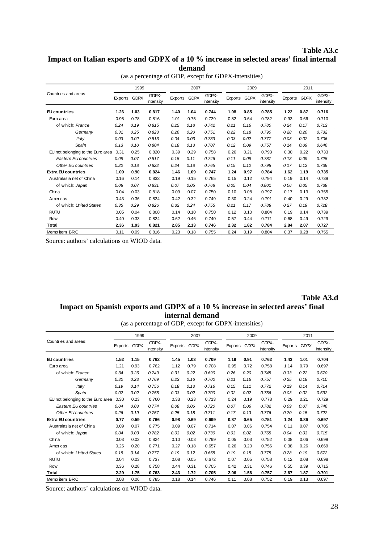### **Table A3.c Impact on Italian exports and GDPX of a 10 % increase in selected areas' final internal demand**

|                                   |         | 1999        |                    |              | 2007 |                    |         | 2009        |                    |              | 2011 |                    |
|-----------------------------------|---------|-------------|--------------------|--------------|------|--------------------|---------|-------------|--------------------|--------------|------|--------------------|
| Countries and areas:              | Exports | <b>GDPX</b> | GDPX-<br>intensity | Exports GDPX |      | GDPX-<br>intensity | Exports | <b>GDPX</b> | GDPX-<br>intensity | Exports GDPX |      | GDPX-<br>intensity |
| EU countries                      | 1.26    | 1.03        | 0.817              | 1.40         | 1.04 | 0.744              | 1.08    | 0.85        | 0.785              | 1.22         | 0.87 | 0.716              |
| Euro area                         | 0.95    | 0.78        | 0.816              | 1.01         | 0.75 | 0.739              | 0.82    | 0.64        | 0.782              | 0.93         | 0.66 | 0.710              |
| of w hich: France                 | 0.24    | 0.19        | 0.815              | 0.25         | 0.18 | 0.742              | 0.21    | 0.16        | 0.780              | 0.24         | 0.17 | 0.713              |
| Germany                           | 0.31    | 0.25        | 0.823              | 0.26         | 0.20 | 0.751              | 0.22    | 0.18        | 0.790              | 0.28         | 0.20 | 0.732              |
| Italy                             | 0.03    | 0.02        | 0.813              | 0.04         | 0.03 | 0.733              | 0.03    | 0.02        | 0.777              | 0.03         | 0.02 | 0.706              |
| Spain                             | 0.13    | 0.10        | 0.804              | 0.18         | 0.13 | 0.707              | 0.12    | 0.09        | 0.757              | 0.14         | 0.09 | 0.646              |
| EU not belonging to the Euro area | 0.31    | 0.25        | 0.820              | 0.39         | 0.29 | 0.758              | 0.26    | 0.21        | 0.793              | 0.30         | 0.22 | 0.733              |
| <b>Eastern EU countries</b>       | 0.09    | 0.07        | 0.817              | 0.15         | 0.11 | 0.746              | 0.11    | 0.09        | 0.787              | 0.13         | 0.09 | 0.725              |
| Other EU countries                | 0.22    | 0.18        | 0.822              | 0.24         | 0.18 | 0.765              | 0.15    | 0.12        | 0.798              | 0.17         | 0.12 | 0.739              |
| <b>Extra EU countries</b>         | 1.09    | 0.90        | 0.824              | 1.46         | 1.09 | 0.747              | 1.24    | 0.97        | 0.784              | 1.62         | 1.19 | 0.735              |
| Australasia net of China          | 0.16    | 0.14        | 0.833              | 0.19         | 0.15 | 0.765              | 0.15    | 0.12        | 0.794              | 0.19         | 0.14 | 0.739              |
| of w hich: Japan                  | 0.08    | 0.07        | 0.831              | 0.07         | 0.05 | 0.768              | 0.05    | 0.04        | 0.801              | 0.06         | 0.05 | 0.739              |
| China                             | 0.04    | 0.03        | 0.818              | 0.09         | 0.07 | 0.750              | 0.10    | 0.08        | 0.797              | 0.17         | 0.13 | 0.755              |
| Americas                          | 0.43    | 0.36        | 0.824              | 0.42         | 0.32 | 0.749              | 0.30    | 0.24        | 0.791              | 0.40         | 0.29 | 0.732              |
| of which: United States           | 0.35    | 0.29        | 0.826              | 0.32         | 0.24 | 0.755              | 0.21    | 0.17        | 0.788              | 0.27         | 0.19 | 0.728              |
| <b>RUTU</b>                       | 0.05    | 0.04        | 0.808              | 0.14         | 0.10 | 0.750              | 0.12    | 0.10        | 0.804              | 0.19         | 0.14 | 0.739              |
| Row                               | 0.40    | 0.33        | 0.824              | 0.62         | 0.46 | 0.740              | 0.57    | 0.44        | 0.771              | 0.68         | 0.49 | 0.729              |
| Total                             | 2.36    | 1.93        | 0.821              | 2.85         | 2.13 | 0.746              | 2.32    | 1.82        | 0.784              | 2.84         | 2.07 | 0.727              |
| Memo item: BRIC                   | 0.11    | 0.09        | 0.816              | 0.23         | 0.18 | 0.755              | 0.24    | 0.19        | 0.804              | 0.37         | 0.28 | 0.755              |

(as a percentage of GDP, except for GDPX-intensities)

Source: authors' calculations on WIOD data.

# **Table A3.d**

# **Impact on Spanish exports and GDPX of a 10 % increase in selected areas' final internal demand**

(as a percentage of GDP, except for GDPX-intensities)

| Countries and areas:              | 1999    |             |                    | 2007    |             |                    | 2009    |             |                    | 2011    |             |                    |
|-----------------------------------|---------|-------------|--------------------|---------|-------------|--------------------|---------|-------------|--------------------|---------|-------------|--------------------|
|                                   | Exports | <b>GDPX</b> | GDPX-<br>intensity | Exports | <b>GDPX</b> | GDPX-<br>intensity | Exports | <b>GDPX</b> | GDPX-<br>intensity | Exports | <b>GDPX</b> | GDPX-<br>intensity |
| EU countries                      | 1.52    | 1.15        | 0.762              | 1.45    | 1.03        | 0.709              | 1.19    | 0.91        | 0.762              | 1.43    | 1.01        | 0.704              |
| Euro area                         | 1.21    | 0.93        | 0.762              | 1.12    | 0.79        | 0.708              | 0.95    | 0.72        | 0.758              | 1.14    | 0.79        | 0.697              |
| of w hich: France                 | 0.34    | 0.26        | 0.749              | 0.31    | 0.22        | 0.690              | 0.26    | 0.20        | 0.745              | 0.33    | 0.22        | 0.670              |
| Germany                           | 0.30    | 0.23        | 0.769              | 0.23    | 0.16        | 0.700              | 0.21    | 0.16        | 0.757              | 0.25    | 0.18        | 0.710              |
| Italy                             | 0.19    | 0.14        | 0.756              | 0.18    | 0.13        | 0.716              | 0.15    | 0.11        | 0.772              | 0.19    | 0.14        | 0.714              |
| Spain                             | 0.02    | 0.02        | 0.755              | 0.03    | 0.02        | 0.700              | 0.02    | 0.02        | 0.756              | 0.03    | 0.02        | 0.692              |
| EU not belonging to the Euro area | 0.30    | 0.23        | 0.760              | 0.33    | 0.23        | 0.713              | 0.24    | 0.19        | 0.778              | 0.29    | 0.21        | 0.729              |
| Eastern EU countries              | 0.04    | 0.03        | 0.774              | 0.08    | 0.06        | 0.720              | 0.07    | 0.06        | 0.782              | 0.09    | 0.07        | 0.746              |
| Other EU countries                | 0.26    | 0.19        | 0.757              | 0.25    | 0.18        | 0.711              | 0.17    | 0.13        | 0.776              | 0.20    | 0.15        | 0.722              |
| <b>Extra EU countries</b>         | 0.77    | 0.59        | 0.766              | 0.98    | 0.69        | 0.699              | 0.87    | 0.65        | 0.751              | 1.24    | 0.86        | 0.697              |
| Australasia net of China          | 0.09    | 0.07        | 0.775              | 0.09    | 0.07        | 0.714              | 0.07    | 0.06        | 0.754              | 0.11    | 0.07        | 0.705              |
| of w hich: Japan                  | 0.04    | 0.03        | 0.782              | 0.03    | 0.02        | 0.730              | 0.03    | 0.02        | 0.765              | 0.04    | 0.03        | 0.715              |
| China                             | 0.03    | 0.03        | 0.824              | 0.10    | 0.08        | 0.799              | 0.05    | 0.03        | 0.752              | 0.08    | 0.06        | 0.699              |
| Americas                          | 0.25    | 0.20        | 0.771              | 0.27    | 0.18        | 0.657              | 0.26    | 0.20        | 0.756              | 0.38    | 0.26        | 0.669              |
| of which: United States           | 0.18    | 0.14        | 0.777              | 0.19    | 0.12        | 0.658              | 0.19    | 0.15        | 0.775              | 0.28    | 0.19        | 0.672              |
| <b>RUTU</b>                       | 0.04    | 0.03        | 0.737              | 0.08    | 0.05        | 0.672              | 0.07    | 0.05        | 0.758              | 0.12    | 0.08        | 0.698              |
| Row                               | 0.36    | 0.28        | 0.758              | 0.44    | 0.31        | 0.705              | 0.42    | 0.31        | 0.746              | 0.55    | 0.39        | 0.715              |
| Total                             | 2.29    | 1.75        | 0.763              | 2.43    | 1.72        | 0.705              | 2.06    | 1.56        | 0.757              | 2.67    | 1.87        | 0.701              |
| Memo item: BRIC                   | 0.08    | 0.06        | 0.785              | 0.18    | 0.14        | 0.746              | 0.11    | 0.08        | 0.752              | 0.19    | 0.13        | 0.697              |

Source: authors' calculations on WIOD data.